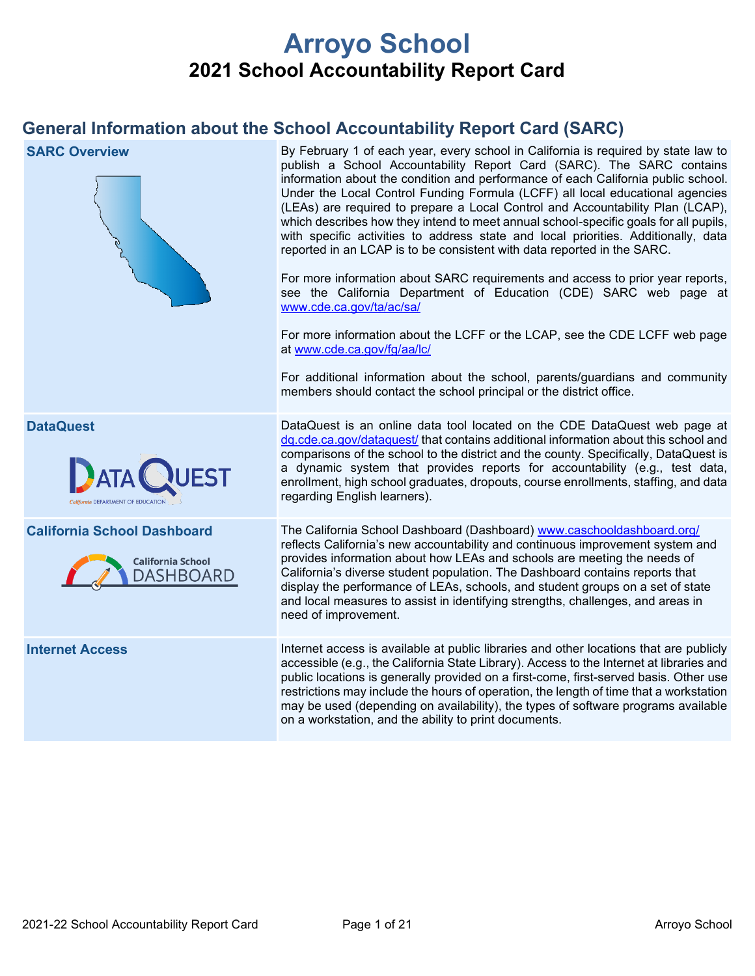# **Arroyo School 2021 School Accountability Report Card**

# **General Information about the School Accountability Report Card (SARC)**

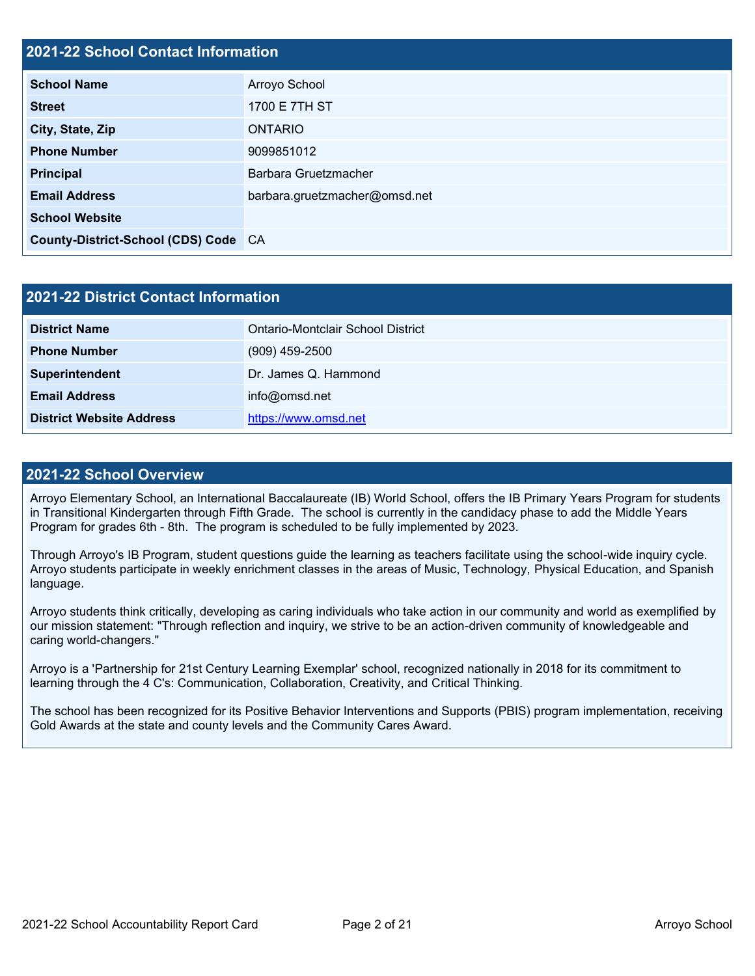### **2021-22 School Contact Information**

| <u> Eve i ee volivol volitavt illioliilatioli</u> |                               |  |  |  |
|---------------------------------------------------|-------------------------------|--|--|--|
| <b>School Name</b>                                | Arroyo School                 |  |  |  |
| <b>Street</b>                                     | 1700 E 7TH ST                 |  |  |  |
| City, State, Zip                                  | ONTARIO                       |  |  |  |
| <b>Phone Number</b>                               | 9099851012                    |  |  |  |
| <b>Principal</b>                                  | Barbara Gruetzmacher          |  |  |  |
| <b>Email Address</b>                              | barbara.gruetzmacher@omsd.net |  |  |  |
| <b>School Website</b>                             |                               |  |  |  |
| County-District-School (CDS) Code CA              |                               |  |  |  |

| 2021-22 District Contact Information |                                          |  |  |
|--------------------------------------|------------------------------------------|--|--|
| <b>District Name</b>                 | <b>Ontario-Montclair School District</b> |  |  |
| <b>Phone Number</b>                  | $(909)$ 459-2500                         |  |  |
| Superintendent                       | Dr. James Q. Hammond                     |  |  |
| <b>Email Address</b>                 | info@omsd.net                            |  |  |
| <b>District Website Address</b>      | https://www.omsd.net                     |  |  |

#### **2021-22 School Overview**

Arroyo Elementary School, an International Baccalaureate (IB) World School, offers the IB Primary Years Program for students in Transitional Kindergarten through Fifth Grade. The school is currently in the candidacy phase to add the Middle Years Program for grades 6th - 8th. The program is scheduled to be fully implemented by 2023.

Through Arroyo's IB Program, student questions guide the learning as teachers facilitate using the school-wide inquiry cycle. Arroyo students participate in weekly enrichment classes in the areas of Music, Technology, Physical Education, and Spanish language.

Arroyo students think critically, developing as caring individuals who take action in our community and world as exemplified by our mission statement: "Through reflection and inquiry, we strive to be an action-driven community of knowledgeable and caring world-changers."

Arroyo is a 'Partnership for 21st Century Learning Exemplar' school, recognized nationally in 2018 for its commitment to learning through the 4 C's: Communication, Collaboration, Creativity, and Critical Thinking.

The school has been recognized for its Positive Behavior Interventions and Supports (PBIS) program implementation, receiving Gold Awards at the state and county levels and the Community Cares Award.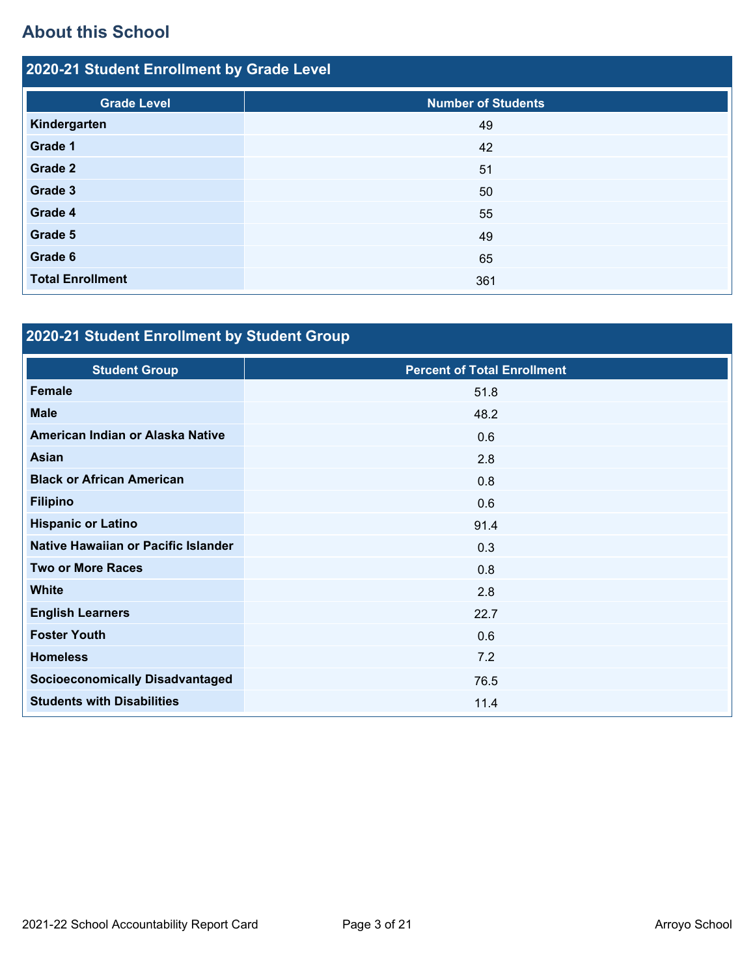# **About this School**

| 2020-21 Student Enrollment by Grade Level |                           |  |  |  |
|-------------------------------------------|---------------------------|--|--|--|
| <b>Grade Level</b>                        | <b>Number of Students</b> |  |  |  |
| Kindergarten                              | 49                        |  |  |  |
| Grade 1                                   | 42                        |  |  |  |
| Grade 2                                   | 51                        |  |  |  |
| Grade 3                                   | 50                        |  |  |  |
| Grade 4                                   | 55                        |  |  |  |
| Grade 5                                   | 49                        |  |  |  |
| Grade 6                                   | 65                        |  |  |  |
| <b>Total Enrollment</b>                   | 361                       |  |  |  |

# **2020-21 Student Enrollment by Student Group**

| <b>Student Group</b>                   | <b>Percent of Total Enrollment</b> |
|----------------------------------------|------------------------------------|
| <b>Female</b>                          | 51.8                               |
| <b>Male</b>                            | 48.2                               |
| American Indian or Alaska Native       | 0.6                                |
| <b>Asian</b>                           | 2.8                                |
| <b>Black or African American</b>       | 0.8                                |
| <b>Filipino</b>                        | 0.6                                |
| <b>Hispanic or Latino</b>              | 91.4                               |
| Native Hawaiian or Pacific Islander    | 0.3                                |
| <b>Two or More Races</b>               | 0.8                                |
| <b>White</b>                           | 2.8                                |
| <b>English Learners</b>                | 22.7                               |
| <b>Foster Youth</b>                    | 0.6                                |
| <b>Homeless</b>                        | 7.2                                |
| <b>Socioeconomically Disadvantaged</b> | 76.5                               |
| <b>Students with Disabilities</b>      | 11.4                               |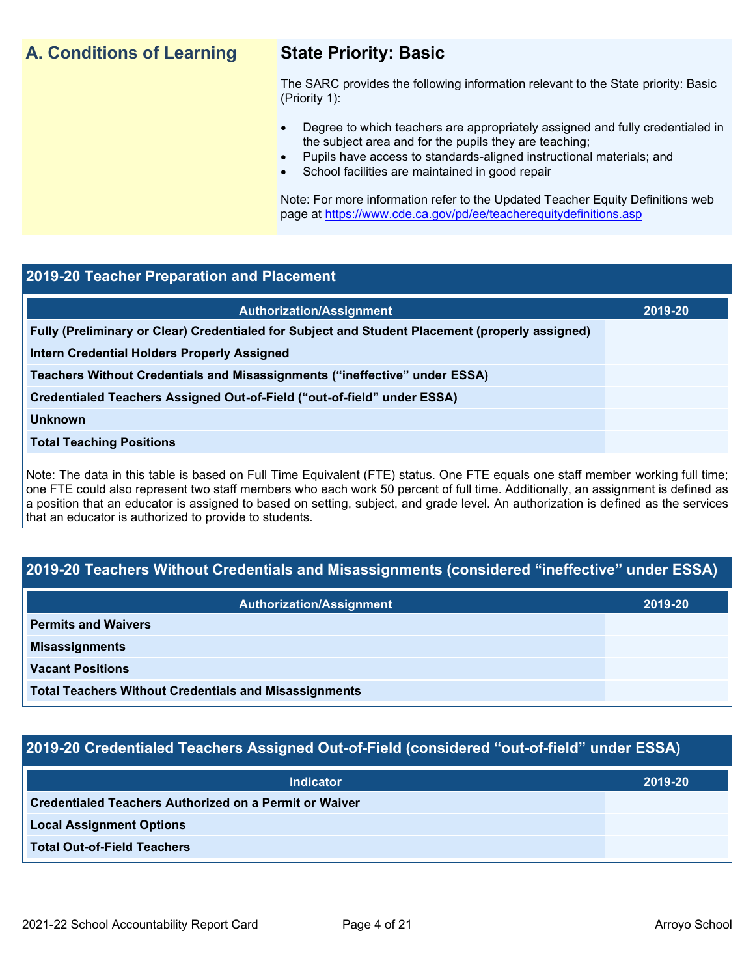# **A. Conditions of Learning State Priority: Basic**

The SARC provides the following information relevant to the State priority: Basic (Priority 1):

- Degree to which teachers are appropriately assigned and fully credentialed in the subject area and for the pupils they are teaching;
	- Pupils have access to standards-aligned instructional materials; and
- School facilities are maintained in good repair

Note: For more information refer to the Updated Teacher Equity Definitions web page at<https://www.cde.ca.gov/pd/ee/teacherequitydefinitions.asp>

#### **2019-20 Teacher Preparation and Placement**

| <b>Authorization/Assignment</b>                                                                 | 2019-20 |
|-------------------------------------------------------------------------------------------------|---------|
| Fully (Preliminary or Clear) Credentialed for Subject and Student Placement (properly assigned) |         |
| <b>Intern Credential Holders Properly Assigned</b>                                              |         |
| Teachers Without Credentials and Misassignments ("ineffective" under ESSA)                      |         |
| Credentialed Teachers Assigned Out-of-Field ("out-of-field" under ESSA)                         |         |
| <b>Unknown</b>                                                                                  |         |
| <b>Total Teaching Positions</b>                                                                 |         |
|                                                                                                 |         |

Note: The data in this table is based on Full Time Equivalent (FTE) status. One FTE equals one staff member working full time; one FTE could also represent two staff members who each work 50 percent of full time. Additionally, an assignment is defined as a position that an educator is assigned to based on setting, subject, and grade level. An authorization is defined as the services that an educator is authorized to provide to students.

## **2019-20 Teachers Without Credentials and Misassignments (considered "ineffective" under ESSA)**

| <b>Authorization/Assignment</b>                              | 2019-20 |
|--------------------------------------------------------------|---------|
| <b>Permits and Waivers</b>                                   |         |
| <b>Misassignments</b>                                        |         |
| <b>Vacant Positions</b>                                      |         |
| <b>Total Teachers Without Credentials and Misassignments</b> |         |

### **2019-20 Credentialed Teachers Assigned Out-of-Field (considered "out-of-field" under ESSA)**

| <b>Indicator</b>                                              | 2019-20 |
|---------------------------------------------------------------|---------|
| <b>Credentialed Teachers Authorized on a Permit or Waiver</b> |         |
| <b>Local Assignment Options</b>                               |         |
| <b>Total Out-of-Field Teachers</b>                            |         |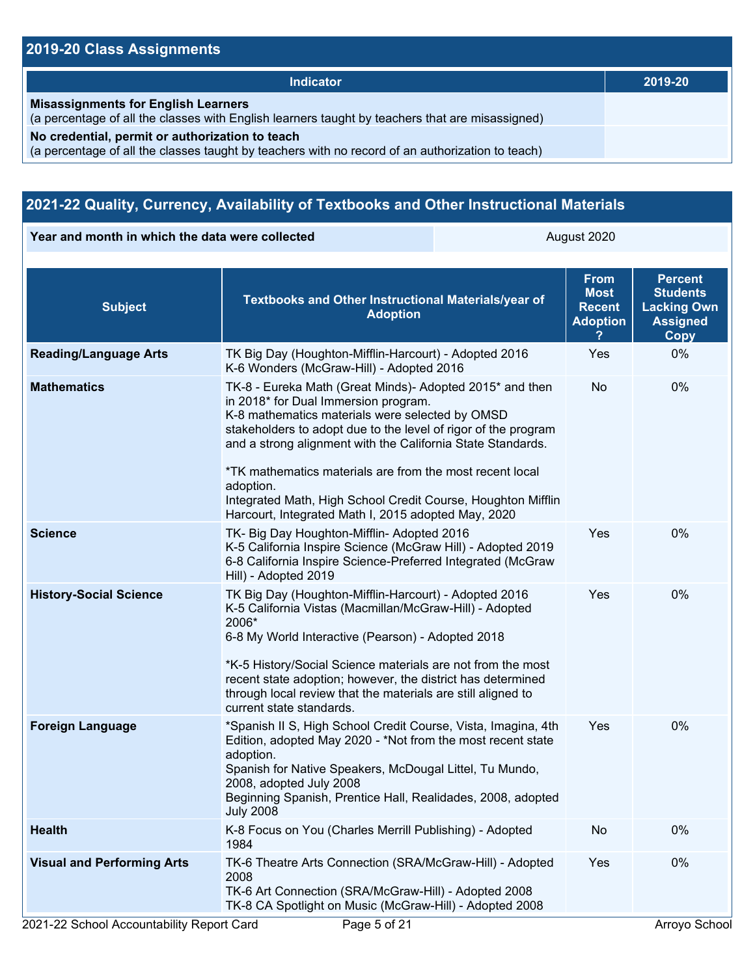# **2019-20 Class Assignments**

| Indicator                                                                                                                                           | 2019-20 |
|-----------------------------------------------------------------------------------------------------------------------------------------------------|---------|
| <b>Misassignments for English Learners</b><br>(a percentage of all the classes with English learners taught by teachers that are misassigned)       |         |
| No credential, permit or authorization to teach<br>(a percentage of all the classes taught by teachers with no record of an authorization to teach) |         |

# **2021-22 Quality, Currency, Availability of Textbooks and Other Instructional Materials**

**Year and month in which the data were collected** August 2020

| <b>Subject</b>                    | Textbooks and Other Instructional Materials/year of<br><b>Adoption</b>                                                                                                                                                                                                                                                                                                                                                                                                               | <b>From</b><br><b>Most</b><br><b>Recent</b><br><b>Adoption</b> | <b>Percent</b><br><b>Students</b><br><b>Lacking Own</b><br><b>Assigned</b><br>Copy |
|-----------------------------------|--------------------------------------------------------------------------------------------------------------------------------------------------------------------------------------------------------------------------------------------------------------------------------------------------------------------------------------------------------------------------------------------------------------------------------------------------------------------------------------|----------------------------------------------------------------|------------------------------------------------------------------------------------|
| <b>Reading/Language Arts</b>      | TK Big Day (Houghton-Mifflin-Harcourt) - Adopted 2016<br>K-6 Wonders (McGraw-Hill) - Adopted 2016                                                                                                                                                                                                                                                                                                                                                                                    | Yes                                                            | 0%                                                                                 |
| <b>Mathematics</b>                | TK-8 - Eureka Math (Great Minds)- Adopted 2015* and then<br>in 2018* for Dual Immersion program.<br>K-8 mathematics materials were selected by OMSD<br>stakeholders to adopt due to the level of rigor of the program<br>and a strong alignment with the California State Standards.<br>*TK mathematics materials are from the most recent local<br>adoption.<br>Integrated Math, High School Credit Course, Houghton Mifflin<br>Harcourt, Integrated Math I, 2015 adopted May, 2020 | No                                                             | 0%                                                                                 |
| <b>Science</b>                    | TK- Big Day Houghton-Mifflin- Adopted 2016<br>K-5 California Inspire Science (McGraw Hill) - Adopted 2019<br>6-8 California Inspire Science-Preferred Integrated (McGraw<br>Hill) - Adopted 2019                                                                                                                                                                                                                                                                                     | Yes                                                            | 0%                                                                                 |
| <b>History-Social Science</b>     | TK Big Day (Houghton-Mifflin-Harcourt) - Adopted 2016<br>K-5 California Vistas (Macmillan/McGraw-Hill) - Adopted<br>2006*<br>6-8 My World Interactive (Pearson) - Adopted 2018<br>*K-5 History/Social Science materials are not from the most<br>recent state adoption; however, the district has determined<br>through local review that the materials are still aligned to<br>current state standards.                                                                             | Yes                                                            | 0%                                                                                 |
| <b>Foreign Language</b>           | *Spanish II S, High School Credit Course, Vista, Imagina, 4th<br>Edition, adopted May 2020 - *Not from the most recent state<br>adoption.<br>Spanish for Native Speakers, McDougal Littel, Tu Mundo,<br>2008, adopted July 2008<br>Beginning Spanish, Prentice Hall, Realidades, 2008, adopted<br><b>July 2008</b>                                                                                                                                                                   | Yes                                                            | 0%                                                                                 |
| <b>Health</b>                     | K-8 Focus on You (Charles Merrill Publishing) - Adopted<br>1984                                                                                                                                                                                                                                                                                                                                                                                                                      | No                                                             | 0%                                                                                 |
| <b>Visual and Performing Arts</b> | TK-6 Theatre Arts Connection (SRA/McGraw-Hill) - Adopted<br>2008<br>TK-6 Art Connection (SRA/McGraw-Hill) - Adopted 2008<br>TK-8 CA Spotlight on Music (McGraw-Hill) - Adopted 2008                                                                                                                                                                                                                                                                                                  | Yes                                                            | 0%                                                                                 |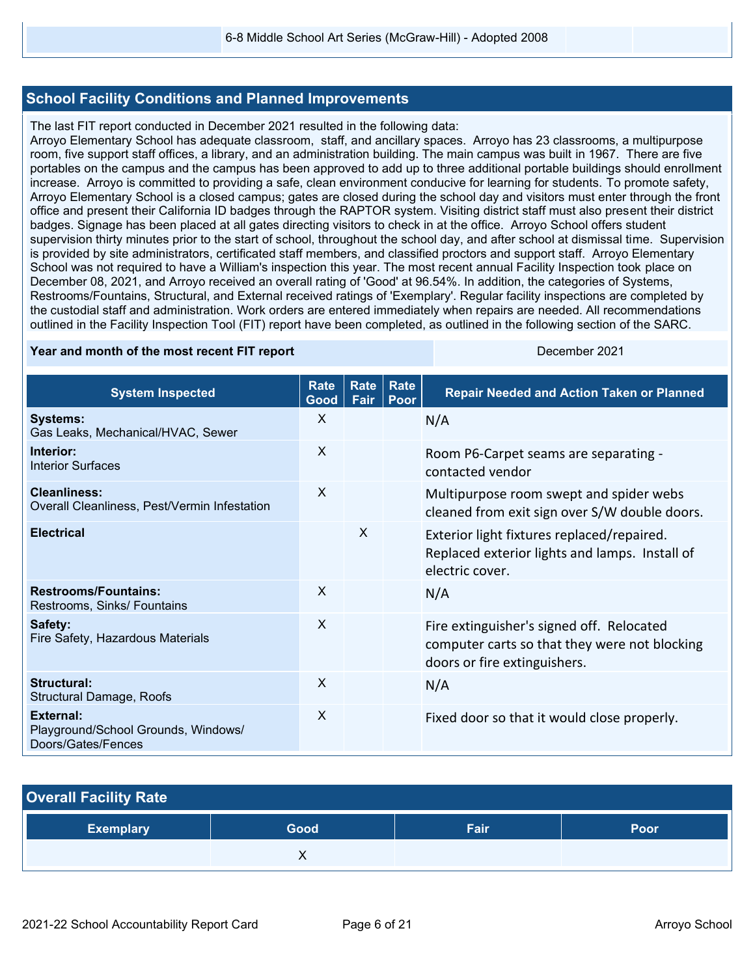#### **School Facility Conditions and Planned Improvements**

The last FIT report conducted in December 2021 resulted in the following data:

Arroyo Elementary School has adequate classroom, staff, and ancillary spaces. Arroyo has 23 classrooms, a multipurpose room, five support staff offices, a library, and an administration building. The main campus was built in 1967. There are five portables on the campus and the campus has been approved to add up to three additional portable buildings should enrollment increase. Arroyo is committed to providing a safe, clean environment conducive for learning for students. To promote safety, Arroyo Elementary School is a closed campus; gates are closed during the school day and visitors must enter through the front office and present their California ID badges through the RAPTOR system. Visiting district staff must also present their district badges. Signage has been placed at all gates directing visitors to check in at the office. Arroyo School offers student supervision thirty minutes prior to the start of school, throughout the school day, and after school at dismissal time. Supervision is provided by site administrators, certificated staff members, and classified proctors and support staff. Arroyo Elementary School was not required to have a William's inspection this year. The most recent annual Facility Inspection took place on December 08, 2021, and Arroyo received an overall rating of 'Good' at 96.54%. In addition, the categories of Systems, Restrooms/Fountains, Structural, and External received ratings of 'Exemplary'. Regular facility inspections are completed by the custodial staff and administration. Work orders are entered immediately when repairs are needed. All recommendations outlined in the Facility Inspection Tool (FIT) report have been completed, as outlined in the following section of the SARC.

#### **Year and month of the most recent FIT report** December 2021

| <b>System Inspected</b>                                                       | <b>Rate</b><br>Good | Rate<br>Fair | <b>Rate</b><br>Poor | <b>Repair Needed and Action Taken or Planned</b>                                                                           |
|-------------------------------------------------------------------------------|---------------------|--------------|---------------------|----------------------------------------------------------------------------------------------------------------------------|
| <b>Systems:</b><br>Gas Leaks, Mechanical/HVAC, Sewer                          | X                   |              |                     | N/A                                                                                                                        |
| Interior:<br><b>Interior Surfaces</b>                                         | $\sf X$             |              |                     | Room P6-Carpet seams are separating -<br>contacted vendor                                                                  |
| Cleanliness:<br>Overall Cleanliness, Pest/Vermin Infestation                  | $\sf X$             |              |                     | Multipurpose room swept and spider webs<br>cleaned from exit sign over S/W double doors.                                   |
| <b>Electrical</b>                                                             |                     | $\mathsf{X}$ |                     | Exterior light fixtures replaced/repaired.<br>Replaced exterior lights and lamps. Install of<br>electric cover.            |
| <b>Restrooms/Fountains:</b><br>Restrooms, Sinks/ Fountains                    | X                   |              |                     | N/A                                                                                                                        |
| Safety:<br>Fire Safety, Hazardous Materials                                   | X                   |              |                     | Fire extinguisher's signed off. Relocated<br>computer carts so that they were not blocking<br>doors or fire extinguishers. |
| Structural:<br><b>Structural Damage, Roofs</b>                                | $\sf X$             |              |                     | N/A                                                                                                                        |
| <b>External:</b><br>Playground/School Grounds, Windows/<br>Doors/Gates/Fences | $\mathsf{X}$        |              |                     | Fixed door so that it would close properly.                                                                                |

| <b>Overall Facility Rate</b> |      |      |      |
|------------------------------|------|------|------|
| <b>Exemplary</b>             | Good | Fair | Poor |
|                              |      |      |      |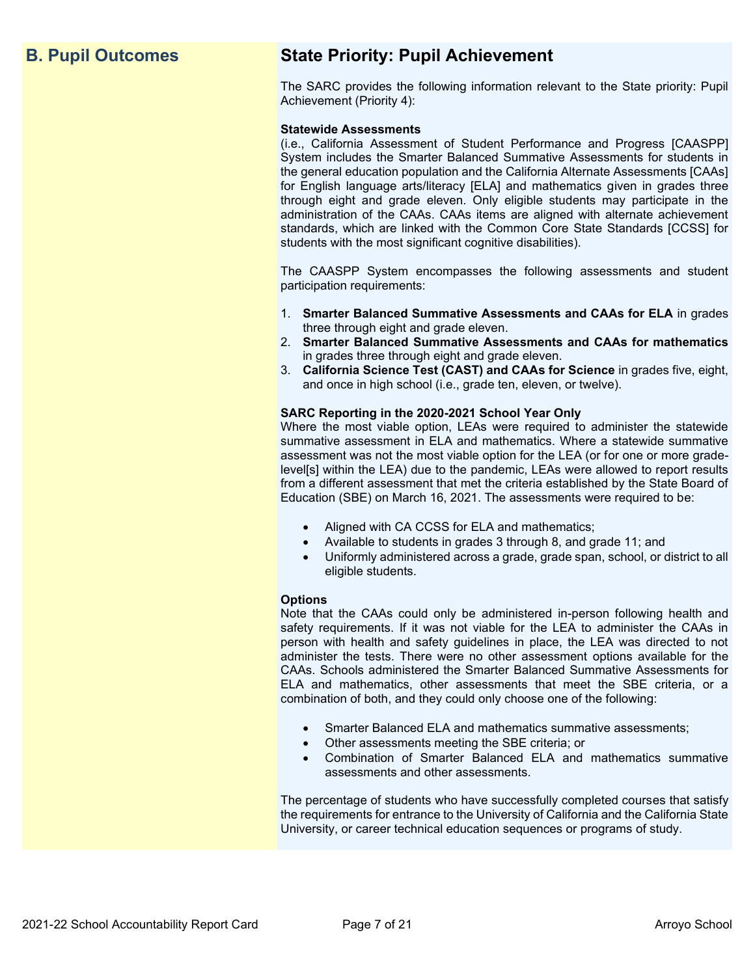# **B. Pupil Outcomes State Priority: Pupil Achievement**

The SARC provides the following information relevant to the State priority: Pupil Achievement (Priority 4):

#### **Statewide Assessments**

(i.e., California Assessment of Student Performance and Progress [CAASPP] System includes the Smarter Balanced Summative Assessments for students in the general education population and the California Alternate Assessments [CAAs] for English language arts/literacy [ELA] and mathematics given in grades three through eight and grade eleven. Only eligible students may participate in the administration of the CAAs. CAAs items are aligned with alternate achievement standards, which are linked with the Common Core State Standards [CCSS] for students with the most significant cognitive disabilities).

The CAASPP System encompasses the following assessments and student participation requirements:

- 1. **Smarter Balanced Summative Assessments and CAAs for ELA** in grades three through eight and grade eleven.
- 2. **Smarter Balanced Summative Assessments and CAAs for mathematics** in grades three through eight and grade eleven.
- 3. **California Science Test (CAST) and CAAs for Science** in grades five, eight, and once in high school (i.e., grade ten, eleven, or twelve).

#### **SARC Reporting in the 2020-2021 School Year Only**

Where the most viable option, LEAs were required to administer the statewide summative assessment in ELA and mathematics. Where a statewide summative assessment was not the most viable option for the LEA (or for one or more gradelevel[s] within the LEA) due to the pandemic, LEAs were allowed to report results from a different assessment that met the criteria established by the State Board of Education (SBE) on March 16, 2021. The assessments were required to be:

- Aligned with CA CCSS for ELA and mathematics;
- Available to students in grades 3 through 8, and grade 11; and
- Uniformly administered across a grade, grade span, school, or district to all eligible students.

#### **Options**

Note that the CAAs could only be administered in-person following health and safety requirements. If it was not viable for the LEA to administer the CAAs in person with health and safety guidelines in place, the LEA was directed to not administer the tests. There were no other assessment options available for the CAAs. Schools administered the Smarter Balanced Summative Assessments for ELA and mathematics, other assessments that meet the SBE criteria, or a combination of both, and they could only choose one of the following:

- Smarter Balanced ELA and mathematics summative assessments;
- Other assessments meeting the SBE criteria; or
- Combination of Smarter Balanced ELA and mathematics summative assessments and other assessments.

The percentage of students who have successfully completed courses that satisfy the requirements for entrance to the University of California and the California State University, or career technical education sequences or programs of study.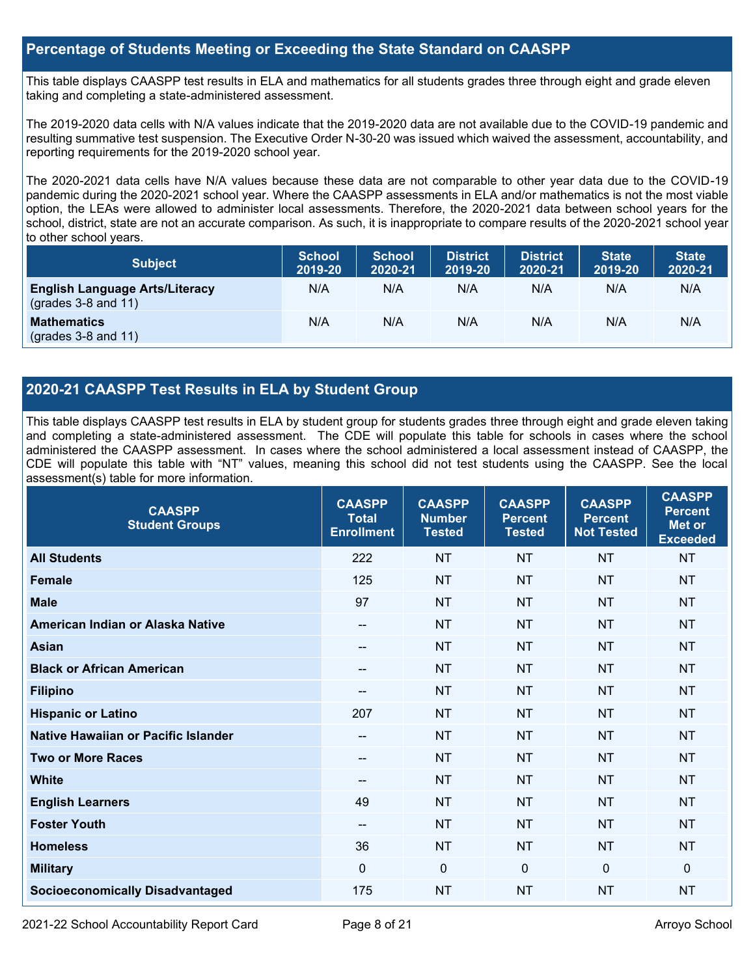#### **Percentage of Students Meeting or Exceeding the State Standard on CAASPP**

This table displays CAASPP test results in ELA and mathematics for all students grades three through eight and grade eleven taking and completing a state-administered assessment.

The 2019-2020 data cells with N/A values indicate that the 2019-2020 data are not available due to the COVID-19 pandemic and resulting summative test suspension. The Executive Order N-30-20 was issued which waived the assessment, accountability, and reporting requirements for the 2019-2020 school year.

The 2020-2021 data cells have N/A values because these data are not comparable to other year data due to the COVID-19 pandemic during the 2020-2021 school year. Where the CAASPP assessments in ELA and/or mathematics is not the most viable option, the LEAs were allowed to administer local assessments. Therefore, the 2020-2021 data between school years for the school, district, state are not an accurate comparison. As such, it is inappropriate to compare results of the 2020-2021 school year to other school years.

| <b>Subject</b>                                                       | <b>School</b><br>2019-20 | <b>School</b><br>2020-21 | <b>District</b><br>2019-20 | <b>District</b><br>2020-21 | <b>State</b><br>2019-20 | <b>State</b><br>2020-21 |
|----------------------------------------------------------------------|--------------------------|--------------------------|----------------------------|----------------------------|-------------------------|-------------------------|
| <b>English Language Arts/Literacy</b><br>$\left($ grades 3-8 and 11) | N/A                      | N/A                      | N/A                        | N/A                        | N/A                     | N/A                     |
| <b>Mathematics</b><br>$(grades 3-8 and 11)$                          | N/A                      | N/A                      | N/A                        | N/A                        | N/A                     | N/A                     |

## **2020-21 CAASPP Test Results in ELA by Student Group**

This table displays CAASPP test results in ELA by student group for students grades three through eight and grade eleven taking and completing a state-administered assessment. The CDE will populate this table for schools in cases where the school administered the CAASPP assessment. In cases where the school administered a local assessment instead of CAASPP, the CDE will populate this table with "NT" values, meaning this school did not test students using the CAASPP. See the local assessment(s) table for more information.

| <b>CAASPP</b><br><b>Student Groups</b> | <b>CAASPP</b><br><b>Total</b><br><b>Enrollment</b> | <b>CAASPP</b><br><b>Number</b><br><b>Tested</b> | <b>CAASPP</b><br><b>Percent</b><br><b>Tested</b> | <b>CAASPP</b><br><b>Percent</b><br><b>Not Tested</b> | <b>CAASPP</b><br><b>Percent</b><br>Met or<br><b>Exceeded</b> |
|----------------------------------------|----------------------------------------------------|-------------------------------------------------|--------------------------------------------------|------------------------------------------------------|--------------------------------------------------------------|
| <b>All Students</b>                    | 222                                                | <b>NT</b>                                       | <b>NT</b>                                        | <b>NT</b>                                            | <b>NT</b>                                                    |
| <b>Female</b>                          | 125                                                | <b>NT</b>                                       | <b>NT</b>                                        | <b>NT</b>                                            | <b>NT</b>                                                    |
| <b>Male</b>                            | 97                                                 | <b>NT</b>                                       | <b>NT</b>                                        | <b>NT</b>                                            | <b>NT</b>                                                    |
| American Indian or Alaska Native       | --                                                 | <b>NT</b>                                       | <b>NT</b>                                        | <b>NT</b>                                            | <b>NT</b>                                                    |
| <b>Asian</b>                           | --                                                 | <b>NT</b>                                       | <b>NT</b>                                        | <b>NT</b>                                            | <b>NT</b>                                                    |
| <b>Black or African American</b>       | --                                                 | <b>NT</b>                                       | <b>NT</b>                                        | <b>NT</b>                                            | <b>NT</b>                                                    |
| <b>Filipino</b>                        |                                                    | <b>NT</b>                                       | <b>NT</b>                                        | <b>NT</b>                                            | <b>NT</b>                                                    |
| <b>Hispanic or Latino</b>              | 207                                                | <b>NT</b>                                       | <b>NT</b>                                        | <b>NT</b>                                            | <b>NT</b>                                                    |
| Native Hawaiian or Pacific Islander    | --                                                 | <b>NT</b>                                       | <b>NT</b>                                        | <b>NT</b>                                            | <b>NT</b>                                                    |
| <b>Two or More Races</b>               | --                                                 | <b>NT</b>                                       | <b>NT</b>                                        | <b>NT</b>                                            | <b>NT</b>                                                    |
| <b>White</b>                           | --                                                 | <b>NT</b>                                       | <b>NT</b>                                        | <b>NT</b>                                            | <b>NT</b>                                                    |
| <b>English Learners</b>                | 49                                                 | <b>NT</b>                                       | <b>NT</b>                                        | <b>NT</b>                                            | <b>NT</b>                                                    |
| <b>Foster Youth</b>                    | --                                                 | <b>NT</b>                                       | <b>NT</b>                                        | <b>NT</b>                                            | <b>NT</b>                                                    |
| <b>Homeless</b>                        | 36                                                 | <b>NT</b>                                       | <b>NT</b>                                        | <b>NT</b>                                            | <b>NT</b>                                                    |
| <b>Military</b>                        | $\mathbf{0}$                                       | $\mathbf 0$                                     | $\Omega$                                         | $\mathbf 0$                                          | 0                                                            |
| <b>Socioeconomically Disadvantaged</b> | 175                                                | <b>NT</b>                                       | <b>NT</b>                                        | <b>NT</b>                                            | <b>NT</b>                                                    |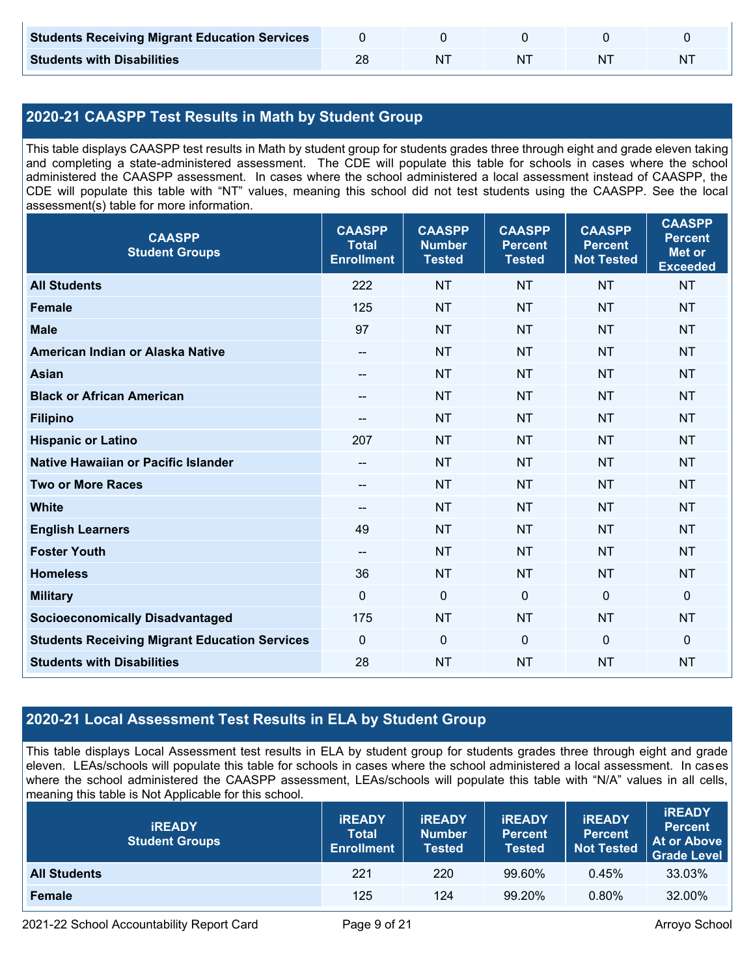| <b>Students Receiving Migrant Education Services</b> |  |    |  |
|------------------------------------------------------|--|----|--|
| <b>Students with Disabilities</b>                    |  | N. |  |

# **2020-21 CAASPP Test Results in Math by Student Group**

This table displays CAASPP test results in Math by student group for students grades three through eight and grade eleven taking and completing a state-administered assessment. The CDE will populate this table for schools in cases where the school administered the CAASPP assessment. In cases where the school administered a local assessment instead of CAASPP, the CDE will populate this table with "NT" values, meaning this school did not test students using the CAASPP. See the local assessment(s) table for more information.

| <b>CAASPP</b><br><b>Student Groups</b>               | <b>CAASPP</b><br><b>Total</b><br><b>Enrollment</b> | <b>CAASPP</b><br><b>Number</b><br><b>Tested</b> | <b>CAASPP</b><br><b>Percent</b><br><b>Tested</b> | <b>CAASPP</b><br><b>Percent</b><br><b>Not Tested</b> | <b>CAASPP</b><br><b>Percent</b><br><b>Met or</b><br><b>Exceeded</b> |
|------------------------------------------------------|----------------------------------------------------|-------------------------------------------------|--------------------------------------------------|------------------------------------------------------|---------------------------------------------------------------------|
| <b>All Students</b>                                  | 222                                                | <b>NT</b>                                       | <b>NT</b>                                        | <b>NT</b>                                            | <b>NT</b>                                                           |
| <b>Female</b>                                        | 125                                                | <b>NT</b>                                       | <b>NT</b>                                        | <b>NT</b>                                            | <b>NT</b>                                                           |
| <b>Male</b>                                          | 97                                                 | <b>NT</b>                                       | <b>NT</b>                                        | <b>NT</b>                                            | <b>NT</b>                                                           |
| American Indian or Alaska Native                     | --                                                 | <b>NT</b>                                       | <b>NT</b>                                        | <b>NT</b>                                            | <b>NT</b>                                                           |
| <b>Asian</b>                                         | --                                                 | <b>NT</b>                                       | <b>NT</b>                                        | <b>NT</b>                                            | <b>NT</b>                                                           |
| <b>Black or African American</b>                     | $\hspace{0.05cm}$ – $\hspace{0.05cm}$              | <b>NT</b>                                       | <b>NT</b>                                        | <b>NT</b>                                            | <b>NT</b>                                                           |
| <b>Filipino</b>                                      | --                                                 | <b>NT</b>                                       | <b>NT</b>                                        | <b>NT</b>                                            | <b>NT</b>                                                           |
| <b>Hispanic or Latino</b>                            | 207                                                | <b>NT</b>                                       | <b>NT</b>                                        | <b>NT</b>                                            | <b>NT</b>                                                           |
| <b>Native Hawaiian or Pacific Islander</b>           | $-$                                                | <b>NT</b>                                       | <b>NT</b>                                        | <b>NT</b>                                            | <b>NT</b>                                                           |
| <b>Two or More Races</b>                             | --                                                 | <b>NT</b>                                       | <b>NT</b>                                        | <b>NT</b>                                            | <b>NT</b>                                                           |
| <b>White</b>                                         | $\hspace{0.05cm}$ – $\hspace{0.05cm}$              | <b>NT</b>                                       | <b>NT</b>                                        | <b>NT</b>                                            | <b>NT</b>                                                           |
| <b>English Learners</b>                              | 49                                                 | <b>NT</b>                                       | <b>NT</b>                                        | <b>NT</b>                                            | <b>NT</b>                                                           |
| <b>Foster Youth</b>                                  | $\overline{\phantom{a}}$                           | <b>NT</b>                                       | <b>NT</b>                                        | <b>NT</b>                                            | <b>NT</b>                                                           |
| <b>Homeless</b>                                      | 36                                                 | <b>NT</b>                                       | <b>NT</b>                                        | <b>NT</b>                                            | <b>NT</b>                                                           |
| <b>Military</b>                                      | $\mathbf{0}$                                       | $\mathbf 0$                                     | $\mathbf 0$                                      | $\mathbf 0$                                          | $\mathbf 0$                                                         |
| <b>Socioeconomically Disadvantaged</b>               | 175                                                | <b>NT</b>                                       | <b>NT</b>                                        | <b>NT</b>                                            | <b>NT</b>                                                           |
| <b>Students Receiving Migrant Education Services</b> | $\mathbf 0$                                        | $\mathbf 0$                                     | $\mathbf 0$                                      | $\mathbf 0$                                          | $\mathbf 0$                                                         |
| <b>Students with Disabilities</b>                    | 28                                                 | <b>NT</b>                                       | <b>NT</b>                                        | <b>NT</b>                                            | <b>NT</b>                                                           |

# **2020-21 Local Assessment Test Results in ELA by Student Group**

This table displays Local Assessment test results in ELA by student group for students grades three through eight and grade eleven. LEAs/schools will populate this table for schools in cases where the school administered a local assessment. In cases where the school administered the CAASPP assessment, LEAs/schools will populate this table with "N/A" values in all cells, meaning this table is Not Applicable for this school.

| <b>IREADY</b><br><b>Student Groups</b> | <b>IREADY</b><br><b>Total</b><br><b>Enrollment</b> | <b>IREADY</b><br><b>Number</b><br><b>Tested</b> | <b><i>IREADY</i></b><br><b>Percent</b><br><b>Tested</b> | <b>IREADY</b><br><b>Percent</b><br><b>Not Tested</b> | <b>IREADY</b><br><b>Percent</b><br>At or Above<br><b>Grade Level</b> |
|----------------------------------------|----------------------------------------------------|-------------------------------------------------|---------------------------------------------------------|------------------------------------------------------|----------------------------------------------------------------------|
| <b>All Students</b>                    | 221                                                | 220                                             | 99.60%                                                  | 0.45%                                                | 33.03%                                                               |
| Female                                 | 125                                                | 124                                             | 99.20%                                                  | $0.80\%$                                             | 32.00%                                                               |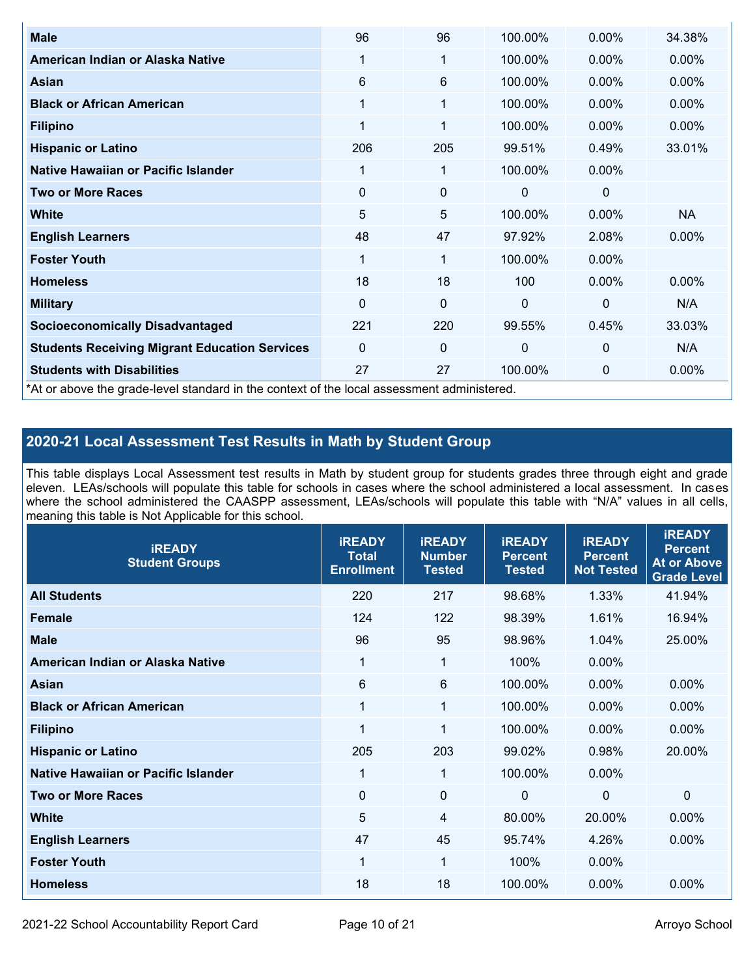| <b>Male</b>                                                                                | 96       | 96           | 100.00%      | $0.00\%$     | 34.38%    |
|--------------------------------------------------------------------------------------------|----------|--------------|--------------|--------------|-----------|
| American Indian or Alaska Native                                                           | 1        | 1            | 100.00%      | $0.00\%$     | 0.00%     |
| Asian                                                                                      | 6        | 6            | 100.00%      | $0.00\%$     | $0.00\%$  |
| <b>Black or African American</b>                                                           | 1        | $\mathbf{1}$ | 100.00%      | 0.00%        | 0.00%     |
| <b>Filipino</b>                                                                            | 1        | 1            | 100.00%      | 0.00%        | 0.00%     |
| <b>Hispanic or Latino</b>                                                                  | 206      | 205          | 99.51%       | 0.49%        | 33.01%    |
| Native Hawaiian or Pacific Islander                                                        | 1        | 1            | 100.00%      | $0.00\%$     |           |
| <b>Two or More Races</b>                                                                   | 0        | 0            | 0            | 0            |           |
| <b>White</b>                                                                               | 5        | 5            | 100.00%      | $0.00\%$     | <b>NA</b> |
| <b>English Learners</b>                                                                    | 48       | 47           | 97.92%       | 2.08%        | 0.00%     |
| <b>Foster Youth</b>                                                                        | 1        | 1            | 100.00%      | $0.00\%$     |           |
| <b>Homeless</b>                                                                            | 18       | 18           | 100          | 0.00%        | 0.00%     |
| <b>Military</b>                                                                            | $\Omega$ | $\mathbf 0$  | $\mathbf{0}$ | $\mathbf{0}$ | N/A       |
| <b>Socioeconomically Disadvantaged</b>                                                     | 221      | 220          | 99.55%       | 0.45%        | 33.03%    |
| <b>Students Receiving Migrant Education Services</b>                                       | 0        | 0            | 0            | $\mathbf 0$  | N/A       |
| <b>Students with Disabilities</b>                                                          | 27       | 27           | 100.00%      | 0            | 0.00%     |
| *At or above the grade-level standard in the context of the local assessment administered. |          |              |              |              |           |

# **2020-21 Local Assessment Test Results in Math by Student Group**

This table displays Local Assessment test results in Math by student group for students grades three through eight and grade eleven. LEAs/schools will populate this table for schools in cases where the school administered a local assessment. In cases where the school administered the CAASPP assessment, LEAs/schools will populate this table with "N/A" values in all cells, meaning this table is Not Applicable for this school.

| <b>iREADY</b><br><b>Student Groups</b> | <b>IREADY</b><br><b>Total</b><br><b>Enrollment</b> | <b>iREADY</b><br><b>Number</b><br><b>Tested</b> | <b>iREADY</b><br><b>Percent</b><br><b>Tested</b> | <b>IREADY</b><br><b>Percent</b><br><b>Not Tested</b> | <b>IREADY</b><br><b>Percent</b><br><b>At or Above</b><br><b>Grade Level</b> |
|----------------------------------------|----------------------------------------------------|-------------------------------------------------|--------------------------------------------------|------------------------------------------------------|-----------------------------------------------------------------------------|
| <b>All Students</b>                    | 220                                                | 217                                             | 98.68%                                           | 1.33%                                                | 41.94%                                                                      |
| <b>Female</b>                          | 124                                                | 122                                             | 98.39%                                           | 1.61%                                                | 16.94%                                                                      |
| <b>Male</b>                            | 96                                                 | 95                                              | 98.96%                                           | 1.04%                                                | 25.00%                                                                      |
| American Indian or Alaska Native       | 1                                                  | 1                                               | 100%                                             | 0.00%                                                |                                                                             |
| Asian                                  | 6                                                  | $6\phantom{1}6$                                 | 100.00%                                          | 0.00%                                                | 0.00%                                                                       |
| <b>Black or African American</b>       | $\mathbf 1$                                        | 1                                               | 100.00%                                          | 0.00%                                                | 0.00%                                                                       |
| <b>Filipino</b>                        | 1                                                  | 1                                               | 100.00%                                          | 0.00%                                                | 0.00%                                                                       |
| <b>Hispanic or Latino</b>              | 205                                                | 203                                             | 99.02%                                           | 0.98%                                                | 20.00%                                                                      |
| Native Hawaiian or Pacific Islander    | $\mathbf{1}$                                       | $\mathbf{1}$                                    | 100.00%                                          | 0.00%                                                |                                                                             |
| <b>Two or More Races</b>               | $\Omega$                                           | $\mathbf 0$                                     | $\mathbf{0}$                                     | $\mathbf{0}$                                         | $\Omega$                                                                    |
| <b>White</b>                           | 5                                                  | $\overline{4}$                                  | 80.00%                                           | 20.00%                                               | $0.00\%$                                                                    |
| <b>English Learners</b>                | 47                                                 | 45                                              | 95.74%                                           | 4.26%                                                | 0.00%                                                                       |
| <b>Foster Youth</b>                    | $\mathbf 1$                                        | 1                                               | 100%                                             | 0.00%                                                |                                                                             |
| <b>Homeless</b>                        | 18                                                 | 18                                              | 100.00%                                          | 0.00%                                                | 0.00%                                                                       |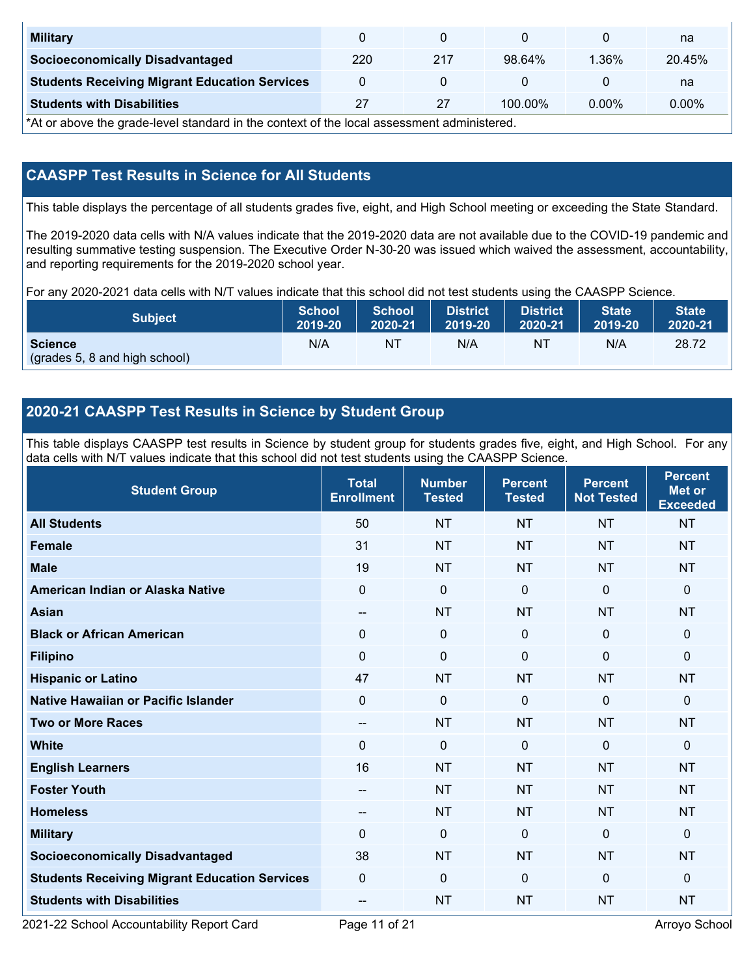| <b>Military</b>                                      |     |     |            |          | na       |
|------------------------------------------------------|-----|-----|------------|----------|----------|
| <b>Socioeconomically Disadvantaged</b>               | 220 | 217 | 98.64%     | $1.36\%$ | 20.45%   |
| <b>Students Receiving Migrant Education Services</b> |     |     |            |          | na       |
| <b>Students with Disabilities</b>                    | 27  |     | $100.00\%$ | $0.00\%$ | $0.00\%$ |

\*At or above the grade-level standard in the context of the local assessment administered.

## **CAASPP Test Results in Science for All Students**

This table displays the percentage of all students grades five, eight, and High School meeting or exceeding the State Standard.

The 2019-2020 data cells with N/A values indicate that the 2019-2020 data are not available due to the COVID-19 pandemic and resulting summative testing suspension. The Executive Order N-30-20 was issued which waived the assessment, accountability, and reporting requirements for the 2019-2020 school year.

For any 2020-2021 data cells with N/T values indicate that this school did not test students using the CAASPP Science.

| <b>Subject</b>                                  | <b>School</b> | <b>School</b> | <b>District</b> | District | <b>State</b> | <b>State</b> |
|-------------------------------------------------|---------------|---------------|-----------------|----------|--------------|--------------|
|                                                 | 2019-20       | 2020-21       | 2019-20         | 2020-21  | 2019-20      | 2020-21      |
| <b>Science</b><br>(grades 5, 8 and high school) | N/A           | NT            | N/A             | 'NT      | N/A          | 28.72        |

## **2020-21 CAASPP Test Results in Science by Student Group**

This table displays CAASPP test results in Science by student group for students grades five, eight, and High School. For any data cells with N/T values indicate that this school did not test students using the CAASPP Science.

| <b>Student Group</b>                                 | <b>Total</b><br><b>Enrollment</b> | <b>Number</b><br><b>Tested</b> | <b>Percent</b><br><b>Tested</b> | <b>Percent</b><br><b>Not Tested</b> | <b>Percent</b><br>Met or<br><b>Exceeded</b> |
|------------------------------------------------------|-----------------------------------|--------------------------------|---------------------------------|-------------------------------------|---------------------------------------------|
| <b>All Students</b>                                  | 50                                | <b>NT</b>                      | <b>NT</b>                       | <b>NT</b>                           | <b>NT</b>                                   |
| <b>Female</b>                                        | 31                                | <b>NT</b>                      | <b>NT</b>                       | <b>NT</b>                           | <b>NT</b>                                   |
| <b>Male</b>                                          | 19                                | <b>NT</b>                      | <b>NT</b>                       | <b>NT</b>                           | <b>NT</b>                                   |
| American Indian or Alaska Native                     | $\mathbf 0$                       | $\mathbf 0$                    | $\mathbf 0$                     | $\mathbf 0$                         | 0                                           |
| <b>Asian</b>                                         | $\qquad \qquad -$                 | <b>NT</b>                      | <b>NT</b>                       | <b>NT</b>                           | <b>NT</b>                                   |
| <b>Black or African American</b>                     | $\mathbf 0$                       | $\mathbf 0$                    | $\mathbf 0$                     | $\mathbf{0}$                        | 0                                           |
| <b>Filipino</b>                                      | $\Omega$                          | $\mathbf 0$                    | $\Omega$                        | $\mathbf{0}$                        | 0                                           |
| <b>Hispanic or Latino</b>                            | 47                                | <b>NT</b>                      | <b>NT</b>                       | <b>NT</b>                           | <b>NT</b>                                   |
| <b>Native Hawaiian or Pacific Islander</b>           | $\mathbf 0$                       | $\mathbf 0$                    | $\mathbf 0$                     | $\mathbf{0}$                        | 0                                           |
| <b>Two or More Races</b>                             | $\qquad \qquad -$                 | <b>NT</b>                      | <b>NT</b>                       | <b>NT</b>                           | <b>NT</b>                                   |
| <b>White</b>                                         | $\mathbf{0}$                      | $\mathbf 0$                    | $\mathbf{0}$                    | $\mathbf 0$                         | 0                                           |
| <b>English Learners</b>                              | 16                                | <b>NT</b>                      | <b>NT</b>                       | <b>NT</b>                           | <b>NT</b>                                   |
| <b>Foster Youth</b>                                  | $\overline{\phantom{a}}$          | <b>NT</b>                      | <b>NT</b>                       | <b>NT</b>                           | <b>NT</b>                                   |
| <b>Homeless</b>                                      | --                                | <b>NT</b>                      | <b>NT</b>                       | <b>NT</b>                           | <b>NT</b>                                   |
| <b>Military</b>                                      | $\Omega$                          | $\mathbf 0$                    | $\Omega$                        | $\mathbf 0$                         | 0                                           |
| <b>Socioeconomically Disadvantaged</b>               | 38                                | <b>NT</b>                      | <b>NT</b>                       | <b>NT</b>                           | <b>NT</b>                                   |
| <b>Students Receiving Migrant Education Services</b> | $\Omega$                          | $\mathbf 0$                    | $\Omega$                        | $\mathbf 0$                         | 0                                           |
| <b>Students with Disabilities</b>                    | --                                | <b>NT</b>                      | <b>NT</b>                       | <b>NT</b>                           | <b>NT</b>                                   |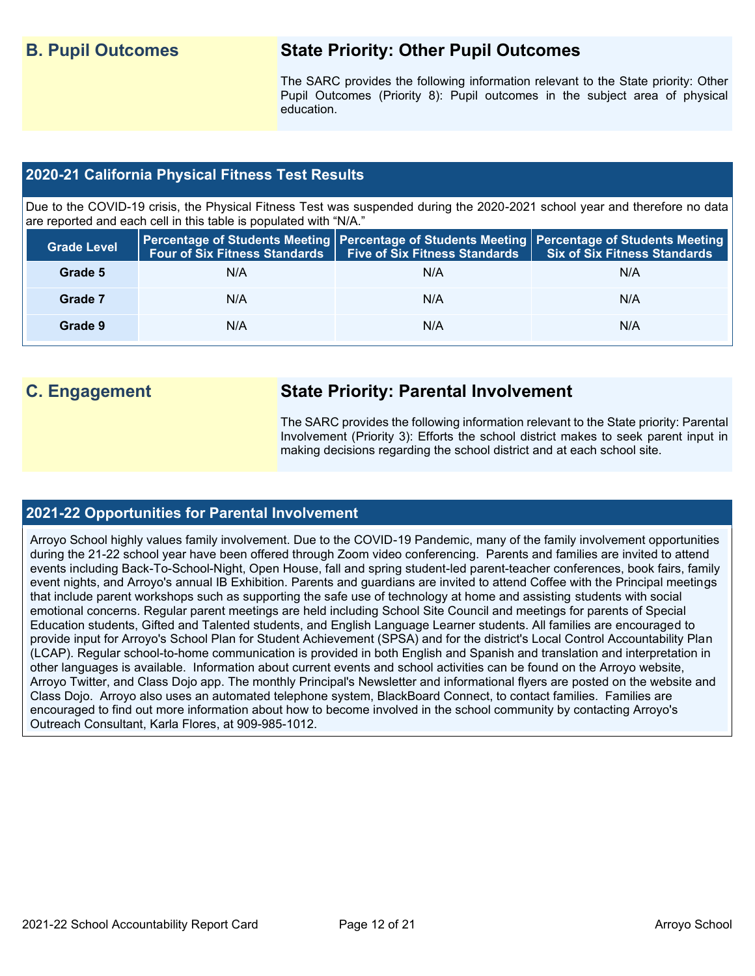# **B. Pupil Outcomes State Priority: Other Pupil Outcomes**

The SARC provides the following information relevant to the State priority: Other Pupil Outcomes (Priority 8): Pupil outcomes in the subject area of physical education.

### **2020-21 California Physical Fitness Test Results**

Due to the COVID-19 crisis, the Physical Fitness Test was suspended during the 2020-2021 school year and therefore no data are reported and each cell in this table is populated with "N/A."

| <b>Grade Level</b> |     | Four of Six Fitness Standards   Five of Six Fitness Standards | Percentage of Students Meeting   Percentage of Students Meeting   Percentage of Students Meeting  <br><b>Six of Six Fitness Standards</b> |
|--------------------|-----|---------------------------------------------------------------|-------------------------------------------------------------------------------------------------------------------------------------------|
| Grade 5            | N/A | N/A                                                           | N/A                                                                                                                                       |
| Grade 7            | N/A | N/A                                                           | N/A                                                                                                                                       |
| Grade 9            | N/A | N/A                                                           | N/A                                                                                                                                       |

# **C. Engagement State Priority: Parental Involvement**

The SARC provides the following information relevant to the State priority: Parental Involvement (Priority 3): Efforts the school district makes to seek parent input in making decisions regarding the school district and at each school site.

### **2021-22 Opportunities for Parental Involvement**

Arroyo School highly values family involvement. Due to the COVID-19 Pandemic, many of the family involvement opportunities during the 21-22 school year have been offered through Zoom video conferencing. Parents and families are invited to attend events including Back-To-School-Night, Open House, fall and spring student-led parent-teacher conferences, book fairs, family event nights, and Arroyo's annual IB Exhibition. Parents and guardians are invited to attend Coffee with the Principal meetings that include parent workshops such as supporting the safe use of technology at home and assisting students with social emotional concerns. Regular parent meetings are held including School Site Council and meetings for parents of Special Education students, Gifted and Talented students, and English Language Learner students. All families are encouraged to provide input for Arroyo's School Plan for Student Achievement (SPSA) and for the district's Local Control Accountability Plan (LCAP). Regular school-to-home communication is provided in both English and Spanish and translation and interpretation in other languages is available. Information about current events and school activities can be found on the Arroyo website, Arroyo Twitter, and Class Dojo app. The monthly Principal's Newsletter and informational flyers are posted on the website and Class Dojo. Arroyo also uses an automated telephone system, BlackBoard Connect, to contact families. Families are encouraged to find out more information about how to become involved in the school community by contacting Arroyo's Outreach Consultant, Karla Flores, at 909-985-1012.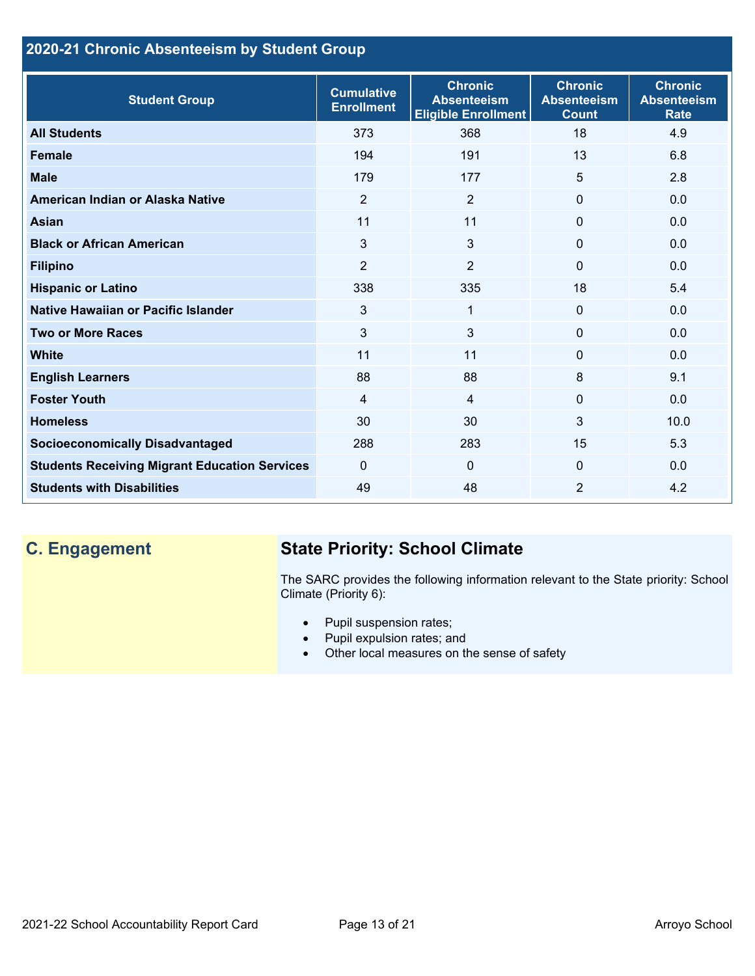# **2020-21 Chronic Absenteeism by Student Group**

| <b>Student Group</b>                                 | <b>Cumulative</b><br><b>Enrollment</b> | <b>Chronic</b><br><b>Absenteeism</b><br><b>Eligible Enrollment</b> | <b>Chronic</b><br><b>Absenteeism</b><br><b>Count</b> | <b>Chronic</b><br><b>Absenteeism</b><br><b>Rate</b> |
|------------------------------------------------------|----------------------------------------|--------------------------------------------------------------------|------------------------------------------------------|-----------------------------------------------------|
| <b>All Students</b>                                  | 373                                    | 368                                                                | 18                                                   | 4.9                                                 |
| <b>Female</b>                                        | 194                                    | 191                                                                | 13                                                   | 6.8                                                 |
| <b>Male</b>                                          | 179                                    | 177                                                                | 5                                                    | 2.8                                                 |
| American Indian or Alaska Native                     | 2                                      | $\overline{2}$                                                     | $\mathbf{0}$                                         | 0.0                                                 |
| <b>Asian</b>                                         | 11                                     | 11                                                                 | $\mathbf{0}$                                         | 0.0                                                 |
| <b>Black or African American</b>                     | 3                                      | 3                                                                  | $\mathbf 0$                                          | 0.0                                                 |
| <b>Filipino</b>                                      | $\overline{2}$                         | $\overline{2}$                                                     | $\mathbf{0}$                                         | 0.0                                                 |
| <b>Hispanic or Latino</b>                            | 338                                    | 335                                                                | 18                                                   | 5.4                                                 |
| <b>Native Hawaiian or Pacific Islander</b>           | 3                                      | $\mathbf{1}$                                                       | $\mathbf{0}$                                         | 0.0                                                 |
| <b>Two or More Races</b>                             | 3                                      | 3                                                                  | $\mathbf 0$                                          | 0.0                                                 |
| <b>White</b>                                         | 11                                     | 11                                                                 | $\mathbf{0}$                                         | 0.0                                                 |
| <b>English Learners</b>                              | 88                                     | 88                                                                 | 8                                                    | 9.1                                                 |
| <b>Foster Youth</b>                                  | $\overline{4}$                         | $\overline{4}$                                                     | $\Omega$                                             | 0.0                                                 |
| <b>Homeless</b>                                      | 30                                     | 30                                                                 | $\mathbf{3}$                                         | 10.0                                                |
| <b>Socioeconomically Disadvantaged</b>               | 288                                    | 283                                                                | 15                                                   | 5.3                                                 |
| <b>Students Receiving Migrant Education Services</b> | $\mathbf{0}$                           | $\Omega$                                                           | $\mathbf{0}$                                         | 0.0                                                 |
| <b>Students with Disabilities</b>                    | 49                                     | 48                                                                 | 2                                                    | 4.2                                                 |

# **C. Engagement State Priority: School Climate**

The SARC provides the following information relevant to the State priority: School Climate (Priority 6):

- Pupil suspension rates;
- Pupil expulsion rates; and
- Other local measures on the sense of safety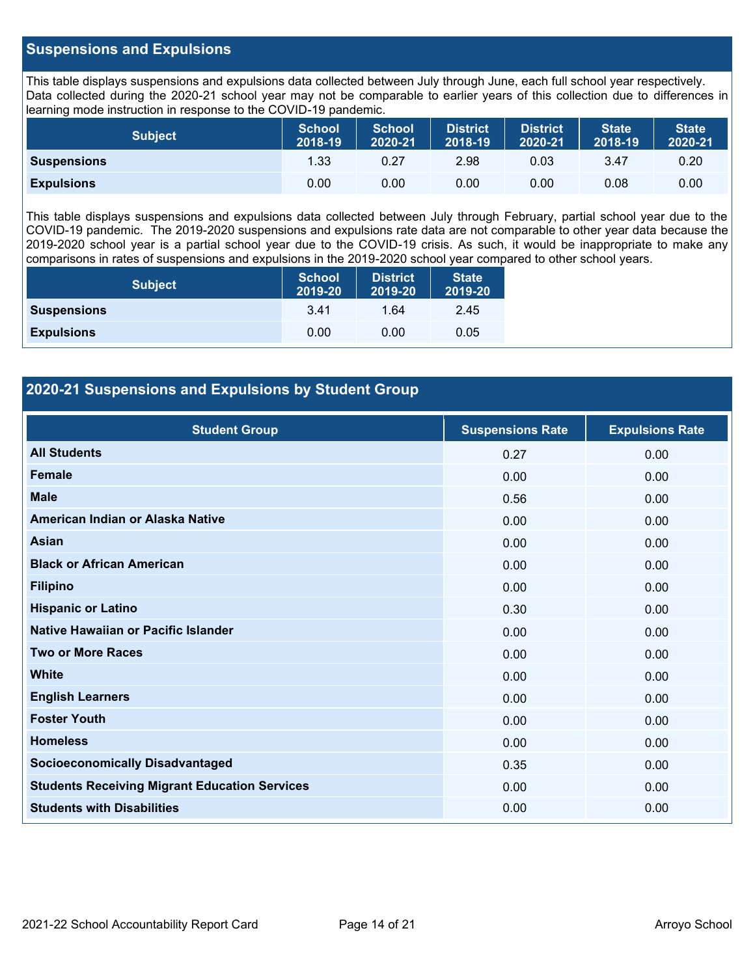#### **Suspensions and Expulsions**

This table displays suspensions and expulsions data collected between July through June, each full school year respectively. Data collected during the 2020-21 school year may not be comparable to earlier years of this collection due to differences in learning mode instruction in response to the COVID-19 pandemic.

| <b>Subject</b>     | <b>School</b><br>2018-19 | <b>School</b><br>2020-21 | <b>District</b><br>2018-19 | <b>District</b><br>2020-21 | <b>State</b><br>2018-19 | <b>State</b><br>2020-21 |
|--------------------|--------------------------|--------------------------|----------------------------|----------------------------|-------------------------|-------------------------|
| <b>Suspensions</b> | 1.33                     | 0.27                     | 2.98                       | 0.03                       | 3.47                    | 0.20                    |
| <b>Expulsions</b>  | 0.00                     | 0.00                     | 0.00                       | 0.00                       | 0.08                    | 0.00                    |

This table displays suspensions and expulsions data collected between July through February, partial school year due to the COVID-19 pandemic. The 2019-2020 suspensions and expulsions rate data are not comparable to other year data because the 2019-2020 school year is a partial school year due to the COVID-19 crisis. As such, it would be inappropriate to make any comparisons in rates of suspensions and expulsions in the 2019-2020 school year compared to other school years.

| <b>Subject</b>     | <b>School</b><br>2019-20 | <b>District</b><br>2019-20 | <b>State</b><br>2019-20 |
|--------------------|--------------------------|----------------------------|-------------------------|
| <b>Suspensions</b> | 3.41                     | 1.64                       | 2.45                    |
| <b>Expulsions</b>  | 0.00                     | 0.00                       | 0.05                    |

### **2020-21 Suspensions and Expulsions by Student Group**

| <b>Student Group</b>                                 | <b>Suspensions Rate</b> | <b>Expulsions Rate</b> |
|------------------------------------------------------|-------------------------|------------------------|
| <b>All Students</b>                                  | 0.27                    | 0.00                   |
| <b>Female</b>                                        | 0.00                    | 0.00                   |
| <b>Male</b>                                          | 0.56                    | 0.00                   |
| American Indian or Alaska Native                     | 0.00                    | 0.00                   |
| <b>Asian</b>                                         | 0.00                    | 0.00                   |
| <b>Black or African American</b>                     | 0.00                    | 0.00                   |
| <b>Filipino</b>                                      | 0.00                    | 0.00                   |
| <b>Hispanic or Latino</b>                            | 0.30                    | 0.00                   |
| Native Hawaiian or Pacific Islander                  | 0.00                    | 0.00                   |
| <b>Two or More Races</b>                             | 0.00                    | 0.00                   |
| <b>White</b>                                         | 0.00                    | 0.00                   |
| <b>English Learners</b>                              | 0.00                    | 0.00                   |
| <b>Foster Youth</b>                                  | 0.00                    | 0.00                   |
| <b>Homeless</b>                                      | 0.00                    | 0.00                   |
| <b>Socioeconomically Disadvantaged</b>               | 0.35                    | 0.00                   |
| <b>Students Receiving Migrant Education Services</b> | 0.00                    | 0.00                   |
| <b>Students with Disabilities</b>                    | 0.00                    | 0.00                   |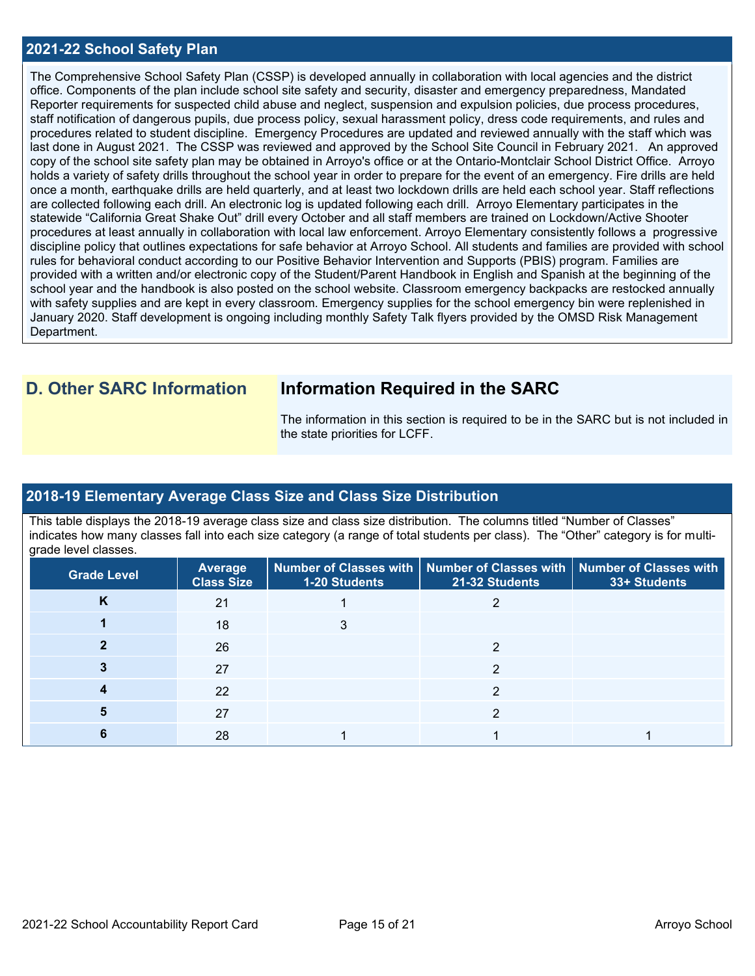#### **2021-22 School Safety Plan**

The Comprehensive School Safety Plan (CSSP) is developed annually in collaboration with local agencies and the district office. Components of the plan include school site safety and security, disaster and emergency preparedness, Mandated Reporter requirements for suspected child abuse and neglect, suspension and expulsion policies, due process procedures, staff notification of dangerous pupils, due process policy, sexual harassment policy, dress code requirements, and rules and procedures related to student discipline. Emergency Procedures are updated and reviewed annually with the staff which was last done in August 2021. The CSSP was reviewed and approved by the School Site Council in February 2021. An approved copy of the school site safety plan may be obtained in Arroyo's office or at the Ontario-Montclair School District Office. Arroyo holds a variety of safety drills throughout the school year in order to prepare for the event of an emergency. Fire drills are held once a month, earthquake drills are held quarterly, and at least two lockdown drills are held each school year. Staff reflections are collected following each drill. An electronic log is updated following each drill. Arroyo Elementary participates in the statewide "California Great Shake Out" drill every October and all staff members are trained on Lockdown/Active Shooter procedures at least annually in collaboration with local law enforcement. Arroyo Elementary consistently follows a progressive discipline policy that outlines expectations for safe behavior at Arroyo School. All students and families are provided with school rules for behavioral conduct according to our Positive Behavior Intervention and Supports (PBIS) program. Families are provided with a written and/or electronic copy of the Student/Parent Handbook in English and Spanish at the beginning of the school year and the handbook is also posted on the school website. Classroom emergency backpacks are restocked annually with safety supplies and are kept in every classroom. Emergency supplies for the school emergency bin were replenished in January 2020. Staff development is ongoing including monthly Safety Talk flyers provided by the OMSD Risk Management Department.

# **D. Other SARC Information Information Required in the SARC**

The information in this section is required to be in the SARC but is not included in the state priorities for LCFF.

### **2018-19 Elementary Average Class Size and Class Size Distribution**

This table displays the 2018-19 average class size and class size distribution. The columns titled "Number of Classes" indicates how many classes fall into each size category (a range of total students per class). The "Other" category is for multigrade level classes.

| <b>Grade Level</b> | Average<br><b>Class Size</b> | 1-20 Students | Number of Classes with   Number of Classes with   Number of Classes with<br>21-32 Students | 33+ Students |
|--------------------|------------------------------|---------------|--------------------------------------------------------------------------------------------|--------------|
| K                  | 21                           |               |                                                                                            |              |
|                    | 18                           |               |                                                                                            |              |
|                    | 26                           |               |                                                                                            |              |
|                    | 27                           |               |                                                                                            |              |
|                    | 22                           |               | າ                                                                                          |              |
|                    | 27                           |               |                                                                                            |              |
|                    | 28                           |               |                                                                                            |              |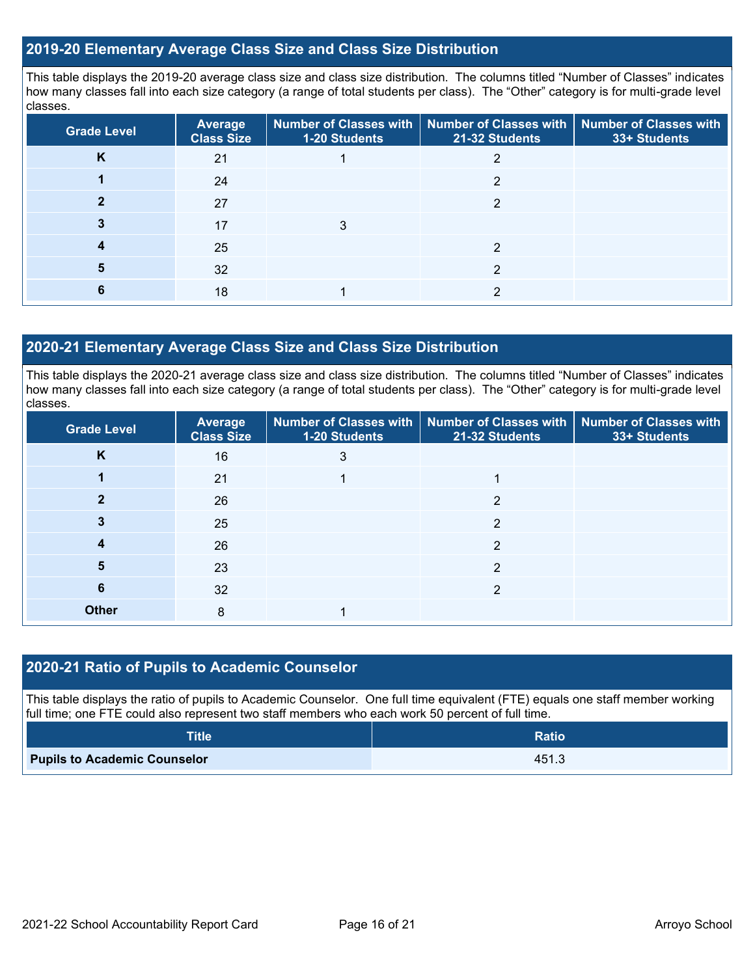#### **2019-20 Elementary Average Class Size and Class Size Distribution**

This table displays the 2019-20 average class size and class size distribution. The columns titled "Number of Classes" indicates how many classes fall into each size category (a range of total students per class). The "Other" category is for multi-grade level classes.

| <b>Grade Level</b> | <b>Average</b><br><b>Class Size</b> | <b>1-20 Students</b> | Number of Classes with   Number of Classes with   Number of Classes with<br>21-32 Students | 33+ Students |
|--------------------|-------------------------------------|----------------------|--------------------------------------------------------------------------------------------|--------------|
| K                  | 21                                  |                      |                                                                                            |              |
|                    | 24                                  |                      | ◠                                                                                          |              |
|                    | 27                                  |                      |                                                                                            |              |
|                    | 17                                  | 3                    |                                                                                            |              |
|                    | 25                                  |                      |                                                                                            |              |
|                    | 32                                  |                      | ⌒                                                                                          |              |
|                    | 18                                  |                      | っ                                                                                          |              |

#### **2020-21 Elementary Average Class Size and Class Size Distribution**

This table displays the 2020-21 average class size and class size distribution. The columns titled "Number of Classes" indicates how many classes fall into each size category (a range of total students per class). The "Other" category is for multi-grade level classes.

| <b>Grade Level</b> | Average<br><b>Class Size</b> | 1-20 Students | Number of Classes with   Number of Classes with   Number of Classes with<br>21-32 Students | 33+ Students |
|--------------------|------------------------------|---------------|--------------------------------------------------------------------------------------------|--------------|
| K                  | 16                           | 3             |                                                                                            |              |
|                    | 21                           |               |                                                                                            |              |
| ּ״                 | 26                           |               | C                                                                                          |              |
|                    | 25                           |               | 2                                                                                          |              |
| 4                  | 26                           |               | っ                                                                                          |              |
| 5                  | 23                           |               | 2                                                                                          |              |
| 6                  | 32                           |               | 2                                                                                          |              |
| <b>Other</b>       | 8                            |               |                                                                                            |              |

### **2020-21 Ratio of Pupils to Academic Counselor**

This table displays the ratio of pupils to Academic Counselor. One full time equivalent (FTE) equals one staff member working full time; one FTE could also represent two staff members who each work 50 percent of full time.

| <b>Title</b>                        | <b>Ratio</b> |
|-------------------------------------|--------------|
| <b>Pupils to Academic Counselor</b> | 451.3        |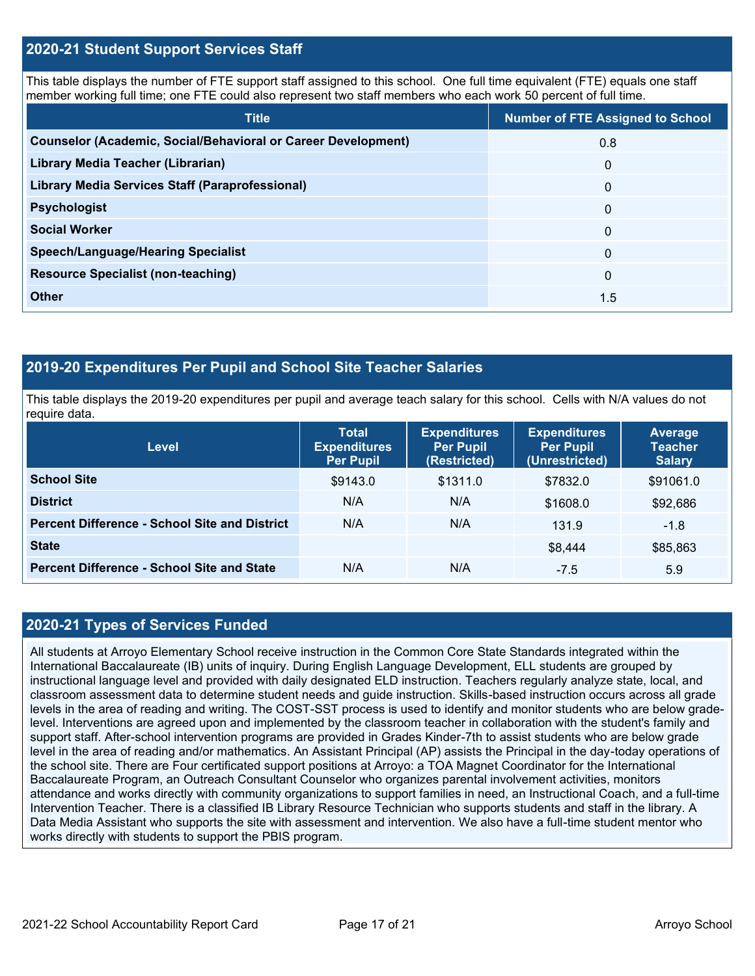#### **2020-21 Student Support Services Staff**

This table displays the number of FTE support staff assigned to this school. One full time equivalent (FTE) equals one staff member working full time; one FTE could also represent two staff members who each work 50 percent of full time.

| <b>Title</b>                                                         | <b>Number of FTE Assigned to School</b> |
|----------------------------------------------------------------------|-----------------------------------------|
| <b>Counselor (Academic, Social/Behavioral or Career Development)</b> | 0.8                                     |
| Library Media Teacher (Librarian)                                    | $\mathbf 0$                             |
| <b>Library Media Services Staff (Paraprofessional)</b>               | $\mathbf 0$                             |
| <b>Psychologist</b>                                                  | $\mathbf{0}$                            |
| <b>Social Worker</b>                                                 | $\Omega$                                |
| <b>Speech/Language/Hearing Specialist</b>                            | $\Omega$                                |
| <b>Resource Specialist (non-teaching)</b>                            | $\Omega$                                |
| <b>Other</b>                                                         | 1.5                                     |

#### **2019-20 Expenditures Per Pupil and School Site Teacher Salaries**

This table displays the 2019-20 expenditures per pupil and average teach salary for this school. Cells with N/A values do not require data.

| <b>Level</b>                                         | <b>Total</b><br><b>Expenditures</b><br><b>Per Pupil</b> | <b>Expenditures</b><br><b>Per Pupil</b><br>(Restricted) | <b>Expenditures</b><br><b>Per Pupil</b><br>(Unrestricted) | Average<br><b>Teacher</b><br><b>Salary</b> |  |
|------------------------------------------------------|---------------------------------------------------------|---------------------------------------------------------|-----------------------------------------------------------|--------------------------------------------|--|
| <b>School Site</b>                                   | \$9143.0                                                | \$1311.0                                                | \$7832.0                                                  | \$91061.0                                  |  |
| <b>District</b>                                      | N/A                                                     | N/A                                                     | \$1608.0                                                  | \$92,686                                   |  |
| <b>Percent Difference - School Site and District</b> | N/A                                                     | N/A                                                     | 131.9                                                     | $-1.8$                                     |  |
| <b>State</b>                                         |                                                         |                                                         | \$8,444                                                   | \$85,863                                   |  |
| <b>Percent Difference - School Site and State</b>    | N/A                                                     | N/A                                                     | $-7.5$                                                    | 5.9                                        |  |

#### **2020-21 Types of Services Funded**

All students at Arroyo Elementary School receive instruction in the Common Core State Standards integrated within the International Baccalaureate (IB) units of inquiry. During English Language Development, ELL students are grouped by instructional language level and provided with daily designated ELD instruction. Teachers regularly analyze state, local, and classroom assessment data to determine student needs and guide instruction. Skills-based instruction occurs across all grade levels in the area of reading and writing. The COST-SST process is used to identify and monitor students who are below gradelevel. Interventions are agreed upon and implemented by the classroom teacher in collaboration with the student's family and support staff. After-school intervention programs are provided in Grades Kinder-7th to assist students who are below grade level in the area of reading and/or mathematics. An Assistant Principal (AP) assists the Principal in the day-today operations of the school site. There are Four certificated support positions at Arroyo: a TOA Magnet Coordinator for the International Baccalaureate Program, an Outreach Consultant Counselor who organizes parental involvement activities, monitors attendance and works directly with community organizations to support families in need, an Instructional Coach, and a full-time Intervention Teacher. There is a classified IB Library Resource Technician who supports students and staff in the library. A Data Media Assistant who supports the site with assessment and intervention. We also have a full-time student mentor who works directly with students to support the PBIS program.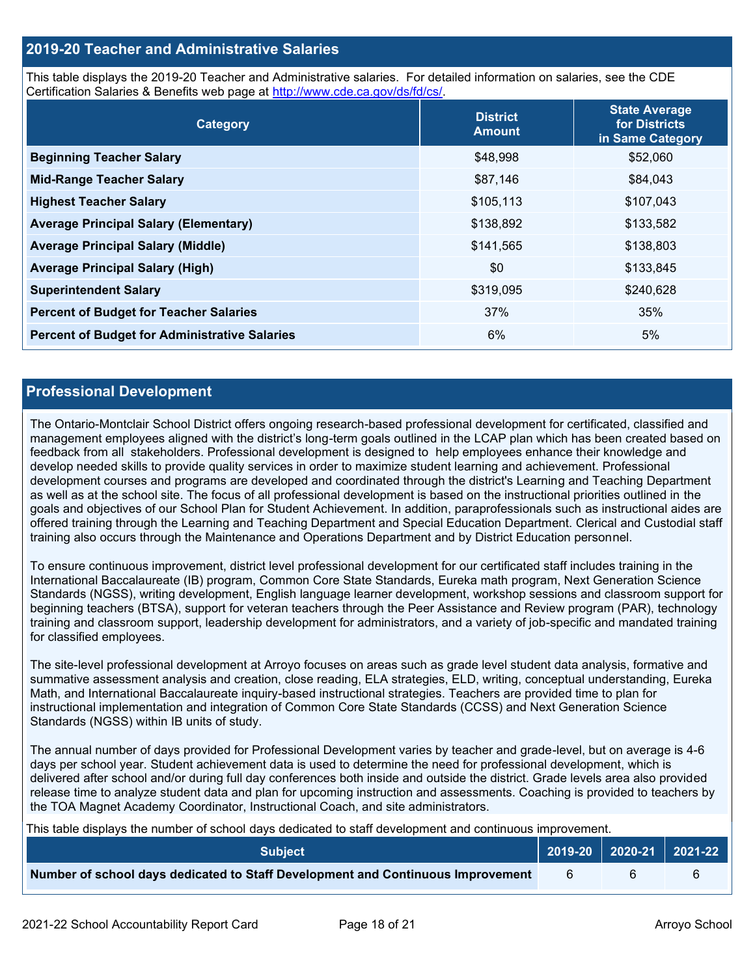#### **2019-20 Teacher and Administrative Salaries**

This table displays the 2019-20 Teacher and Administrative salaries. For detailed information on salaries, see the CDE Certification Salaries & Benefits web page at [http://www.cde.ca.gov/ds/fd/cs/.](http://www.cde.ca.gov/ds/fd/cs/)

| Category                                             | <b>District</b><br><b>Amount</b> | <b>State Average</b><br>for Districts<br>in Same Category |
|------------------------------------------------------|----------------------------------|-----------------------------------------------------------|
| <b>Beginning Teacher Salary</b>                      | \$48,998                         | \$52,060                                                  |
| <b>Mid-Range Teacher Salary</b>                      | \$87,146                         | \$84,043                                                  |
| <b>Highest Teacher Salary</b>                        | \$105,113                        | \$107,043                                                 |
| <b>Average Principal Salary (Elementary)</b>         | \$138,892                        | \$133,582                                                 |
| <b>Average Principal Salary (Middle)</b>             | \$141,565                        | \$138,803                                                 |
| <b>Average Principal Salary (High)</b>               | \$0                              | \$133,845                                                 |
| <b>Superintendent Salary</b>                         | \$319,095                        | \$240,628                                                 |
| <b>Percent of Budget for Teacher Salaries</b>        | 37%                              | 35%                                                       |
| <b>Percent of Budget for Administrative Salaries</b> | 6%                               | 5%                                                        |

#### **Professional Development**

The Ontario-Montclair School District offers ongoing research-based professional development for certificated, classified and management employees aligned with the district's long-term goals outlined in the LCAP plan which has been created based on feedback from all stakeholders. Professional development is designed to help employees enhance their knowledge and develop needed skills to provide quality services in order to maximize student learning and achievement. Professional development courses and programs are developed and coordinated through the district's Learning and Teaching Department as well as at the school site. The focus of all professional development is based on the instructional priorities outlined in the goals and objectives of our School Plan for Student Achievement. In addition, paraprofessionals such as instructional aides are offered training through the Learning and Teaching Department and Special Education Department. Clerical and Custodial staff training also occurs through the Maintenance and Operations Department and by District Education personnel.

To ensure continuous improvement, district level professional development for our certificated staff includes training in the International Baccalaureate (IB) program, Common Core State Standards, Eureka math program, Next Generation Science Standards (NGSS), writing development, English language learner development, workshop sessions and classroom support for beginning teachers (BTSA), support for veteran teachers through the Peer Assistance and Review program (PAR), technology training and classroom support, leadership development for administrators, and a variety of job-specific and mandated training for classified employees.

The site-level professional development at Arroyo focuses on areas such as grade level student data analysis, formative and summative assessment analysis and creation, close reading, ELA strategies, ELD, writing, conceptual understanding, Eureka Math, and International Baccalaureate inquiry-based instructional strategies. Teachers are provided time to plan for instructional implementation and integration of Common Core State Standards (CCSS) and Next Generation Science Standards (NGSS) within IB units of study.

The annual number of days provided for Professional Development varies by teacher and grade-level, but on average is 4-6 days per school year. Student achievement data is used to determine the need for professional development, which is delivered after school and/or during full day conferences both inside and outside the district. Grade levels area also provided release time to analyze student data and plan for upcoming instruction and assessments. Coaching is provided to teachers by the TOA Magnet Academy Coordinator, Instructional Coach, and site administrators.

This table displays the number of school days dedicated to staff development and continuous improvement.

| <b>Subject</b>                                                                  | 2019-20 2020-21 2021-22 |  |
|---------------------------------------------------------------------------------|-------------------------|--|
| Number of school days dedicated to Staff Development and Continuous Improvement |                         |  |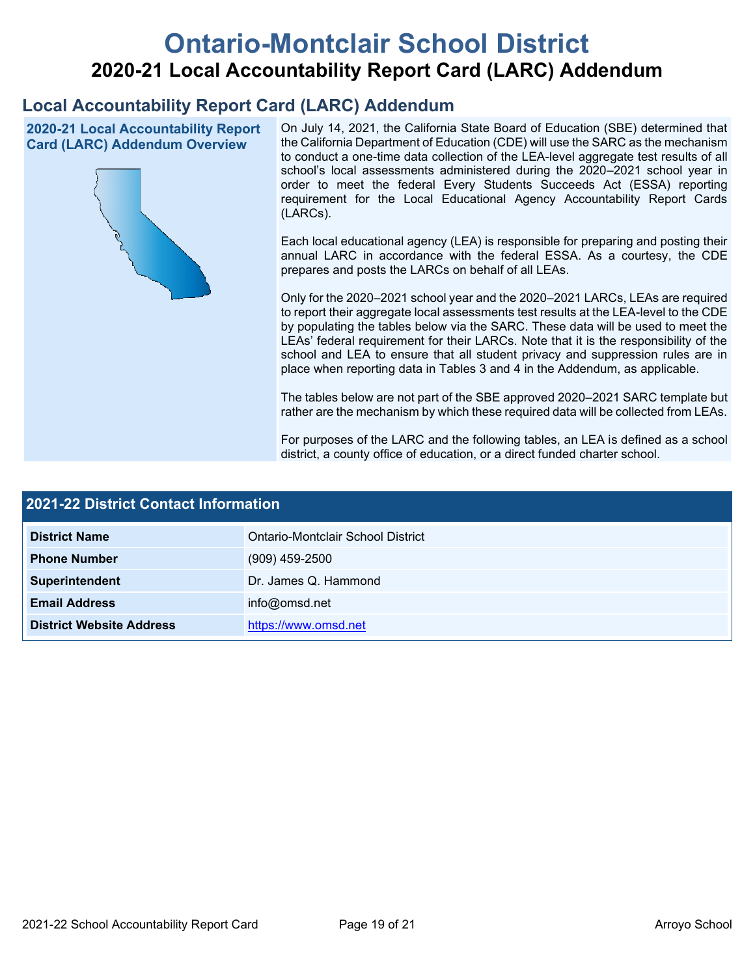# **Ontario-Montclair School District 2020-21 Local Accountability Report Card (LARC) Addendum**

# **Local Accountability Report Card (LARC) Addendum**

**2020-21 Local Accountability Report Card (LARC) Addendum Overview**



On July 14, 2021, the California State Board of Education (SBE) determined that the California Department of Education (CDE) will use the SARC as the mechanism to conduct a one-time data collection of the LEA-level aggregate test results of all school's local assessments administered during the 2020–2021 school year in order to meet the federal Every Students Succeeds Act (ESSA) reporting requirement for the Local Educational Agency Accountability Report Cards (LARCs).

Each local educational agency (LEA) is responsible for preparing and posting their annual LARC in accordance with the federal ESSA. As a courtesy, the CDE prepares and posts the LARCs on behalf of all LEAs.

Only for the 2020–2021 school year and the 2020–2021 LARCs, LEAs are required to report their aggregate local assessments test results at the LEA-level to the CDE by populating the tables below via the SARC. These data will be used to meet the LEAs' federal requirement for their LARCs. Note that it is the responsibility of the school and LEA to ensure that all student privacy and suppression rules are in place when reporting data in Tables 3 and 4 in the Addendum, as applicable.

The tables below are not part of the SBE approved 2020–2021 SARC template but rather are the mechanism by which these required data will be collected from LEAs.

For purposes of the LARC and the following tables, an LEA is defined as a school district, a county office of education, or a direct funded charter school.

| 2021-22 District Contact Information |                                   |  |  |
|--------------------------------------|-----------------------------------|--|--|
| <b>District Name</b>                 | Ontario-Montclair School District |  |  |
| <b>Phone Number</b>                  | $(909)$ 459-2500                  |  |  |
| Superintendent                       | Dr. James Q. Hammond              |  |  |
| <b>Email Address</b>                 | info@omsd.net                     |  |  |
| <b>District Website Address</b>      | https://www.omsd.net              |  |  |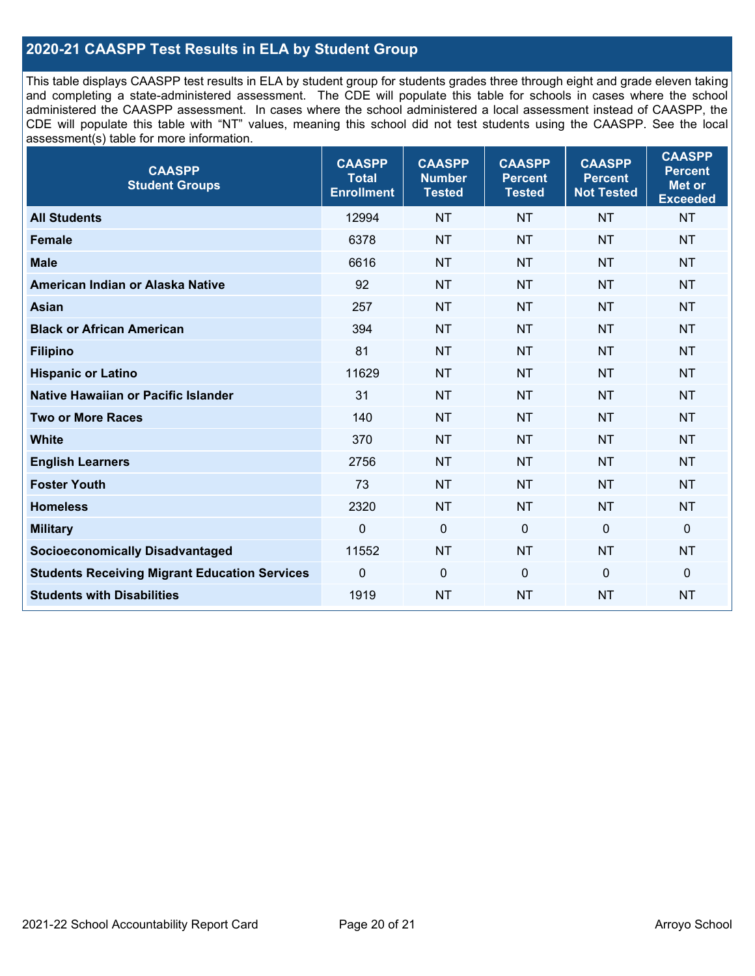## **2020-21 CAASPP Test Results in ELA by Student Group**

This table displays CAASPP test results in ELA by student group for students grades three through eight and grade eleven taking and completing a state-administered assessment. The CDE will populate this table for schools in cases where the school administered the CAASPP assessment. In cases where the school administered a local assessment instead of CAASPP, the CDE will populate this table with "NT" values, meaning this school did not test students using the CAASPP. See the local assessment(s) table for more information.

| <b>CAASPP</b><br><b>Student Groups</b>               | <b>CAASPP</b><br><b>Total</b><br><b>Enrollment</b> | <b>CAASPP</b><br><b>Number</b><br><b>Tested</b> | <b>CAASPP</b><br><b>Percent</b><br><b>Tested</b> | <b>CAASPP</b><br><b>Percent</b><br><b>Not Tested</b> | <b>CAASPP</b><br><b>Percent</b><br>Met or<br><b>Exceeded</b> |
|------------------------------------------------------|----------------------------------------------------|-------------------------------------------------|--------------------------------------------------|------------------------------------------------------|--------------------------------------------------------------|
| <b>All Students</b>                                  | 12994                                              | <b>NT</b>                                       | <b>NT</b>                                        | <b>NT</b>                                            | <b>NT</b>                                                    |
| <b>Female</b>                                        | 6378                                               | <b>NT</b>                                       | <b>NT</b>                                        | <b>NT</b>                                            | <b>NT</b>                                                    |
| <b>Male</b>                                          | 6616                                               | <b>NT</b>                                       | <b>NT</b>                                        | <b>NT</b>                                            | <b>NT</b>                                                    |
| American Indian or Alaska Native                     | 92                                                 | <b>NT</b>                                       | <b>NT</b>                                        | <b>NT</b>                                            | <b>NT</b>                                                    |
| <b>Asian</b>                                         | 257                                                | <b>NT</b>                                       | <b>NT</b>                                        | <b>NT</b>                                            | <b>NT</b>                                                    |
| <b>Black or African American</b>                     | 394                                                | <b>NT</b>                                       | <b>NT</b>                                        | <b>NT</b>                                            | <b>NT</b>                                                    |
| <b>Filipino</b>                                      | 81                                                 | <b>NT</b>                                       | <b>NT</b>                                        | <b>NT</b>                                            | <b>NT</b>                                                    |
| <b>Hispanic or Latino</b>                            | 11629                                              | <b>NT</b>                                       | <b>NT</b>                                        | <b>NT</b>                                            | <b>NT</b>                                                    |
| Native Hawaiian or Pacific Islander                  | 31                                                 | <b>NT</b>                                       | <b>NT</b>                                        | <b>NT</b>                                            | <b>NT</b>                                                    |
| <b>Two or More Races</b>                             | 140                                                | <b>NT</b>                                       | <b>NT</b>                                        | <b>NT</b>                                            | <b>NT</b>                                                    |
| <b>White</b>                                         | 370                                                | <b>NT</b>                                       | <b>NT</b>                                        | <b>NT</b>                                            | <b>NT</b>                                                    |
| <b>English Learners</b>                              | 2756                                               | <b>NT</b>                                       | <b>NT</b>                                        | <b>NT</b>                                            | <b>NT</b>                                                    |
| <b>Foster Youth</b>                                  | 73                                                 | <b>NT</b>                                       | <b>NT</b>                                        | <b>NT</b>                                            | <b>NT</b>                                                    |
| <b>Homeless</b>                                      | 2320                                               | <b>NT</b>                                       | <b>NT</b>                                        | <b>NT</b>                                            | <b>NT</b>                                                    |
| <b>Military</b>                                      | $\mathbf 0$                                        | $\mathbf 0$                                     | $\mathbf 0$                                      | $\mathbf 0$                                          | 0                                                            |
| <b>Socioeconomically Disadvantaged</b>               | 11552                                              | <b>NT</b>                                       | <b>NT</b>                                        | <b>NT</b>                                            | <b>NT</b>                                                    |
| <b>Students Receiving Migrant Education Services</b> | $\Omega$                                           | $\mathbf 0$                                     | $\mathbf{0}$                                     | $\Omega$                                             | 0                                                            |
| <b>Students with Disabilities</b>                    | 1919                                               | <b>NT</b>                                       | <b>NT</b>                                        | <b>NT</b>                                            | <b>NT</b>                                                    |